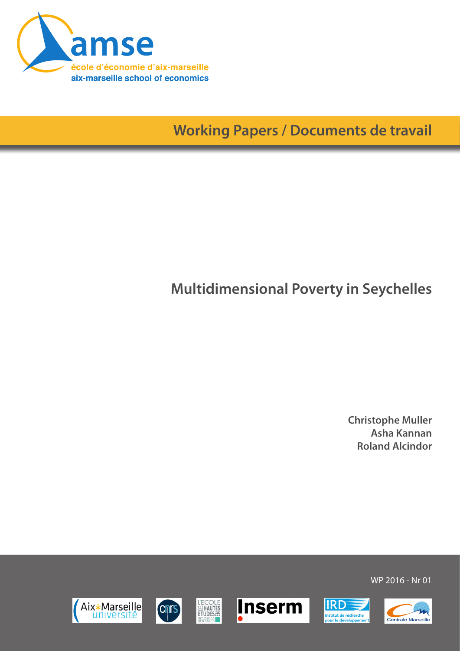

**Working Papers / Documents de travail**

# **Multidimensional Poverty in Seychelles**

**Christophe Muller Asha Kannan Roland Alcindor**

WP 2016 - Nr 01











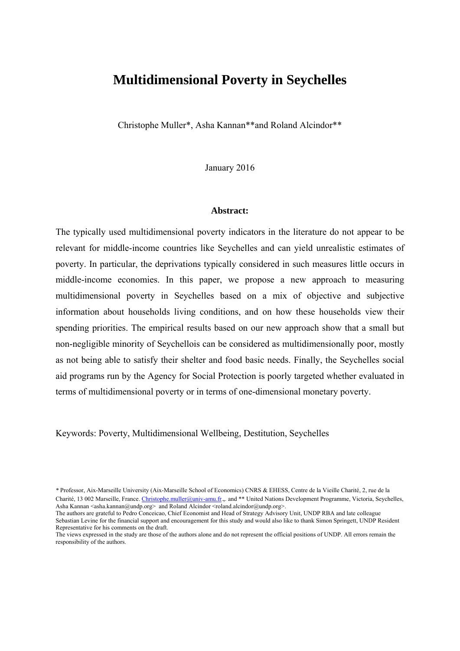# **Multidimensional Poverty in Seychelles**

Christophe Muller\*, Asha Kannan\*\*and Roland Alcindor\*\*

January 2016

#### **Abstract:**

The typically used multidimensional poverty indicators in the literature do not appear to be relevant for middle-income countries like Seychelles and can yield unrealistic estimates of poverty. In particular, the deprivations typically considered in such measures little occurs in middle-income economies. In this paper, we propose a new approach to measuring multidimensional poverty in Seychelles based on a mix of objective and subjective information about households living conditions, and on how these households view their spending priorities. The empirical results based on our new approach show that a small but non-negligible minority of Seychellois can be considered as multidimensionally poor, mostly as not being able to satisfy their shelter and food basic needs. Finally, the Seychelles social aid programs run by the Agency for Social Protection is poorly targeted whether evaluated in terms of multidimensional poverty or in terms of one-dimensional monetary poverty.

Keywords: Poverty, Multidimensional Wellbeing, Destitution, Seychelles

*<sup>\*</sup>* Professor, Aix-Marseille University (Aix-Marseille School of Economics) CNRS & EHESS, Centre de la Vieille Charité, 2, rue de la Charité, 13 002 Marseille, France. Christophe.muller@univ-amu.fr.,. and \*\* United Nations Development Programme, Victoria, Seychelles, Asha Kannan  $\langle$ asha.kannan@undp.org> and Roland Alcindor  $\langle$ roland.alcindor@undp.org>.

The authors are grateful to Pedro Conceicao, Chief Economist and Head of Strategy Advisory Unit, UNDP RBA and late colleague Sebastian Levine for the financial support and encouragement for this study and would also like to thank Simon Springett, UNDP Resident Representative for his comments on the draft.

The views expressed in the study are those of the authors alone and do not represent the official positions of UNDP. All errors remain the responsibility of the authors.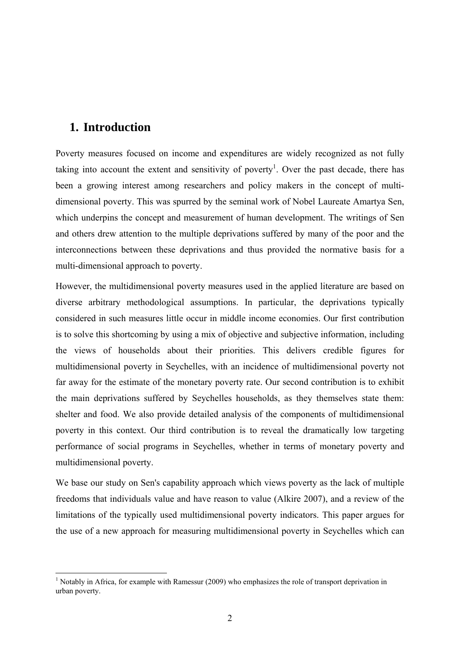### **1. Introduction**

Poverty measures focused on income and expenditures are widely recognized as not fully taking into account the extent and sensitivity of poverty<sup>1</sup>. Over the past decade, there has been a growing interest among researchers and policy makers in the concept of multidimensional poverty. This was spurred by the seminal work of Nobel Laureate Amartya Sen, which underpins the concept and measurement of human development. The writings of Sen and others drew attention to the multiple deprivations suffered by many of the poor and the interconnections between these deprivations and thus provided the normative basis for a multi-dimensional approach to poverty.

However, the multidimensional poverty measures used in the applied literature are based on diverse arbitrary methodological assumptions. In particular, the deprivations typically considered in such measures little occur in middle income economies. Our first contribution is to solve this shortcoming by using a mix of objective and subjective information, including the views of households about their priorities. This delivers credible figures for multidimensional poverty in Seychelles, with an incidence of multidimensional poverty not far away for the estimate of the monetary poverty rate. Our second contribution is to exhibit the main deprivations suffered by Seychelles households, as they themselves state them: shelter and food. We also provide detailed analysis of the components of multidimensional poverty in this context. Our third contribution is to reveal the dramatically low targeting performance of social programs in Seychelles, whether in terms of monetary poverty and multidimensional poverty.

We base our study on Sen's capability approach which views poverty as the lack of multiple freedoms that individuals value and have reason to value (Alkire 2007), and a review of the limitations of the typically used multidimensional poverty indicators. This paper argues for the use of a new approach for measuring multidimensional poverty in Seychelles which can

<sup>&</sup>lt;u>.</u> <sup>1</sup> Notably in Africa, for example with Ramessur (2009) who emphasizes the role of transport deprivation in urban poverty.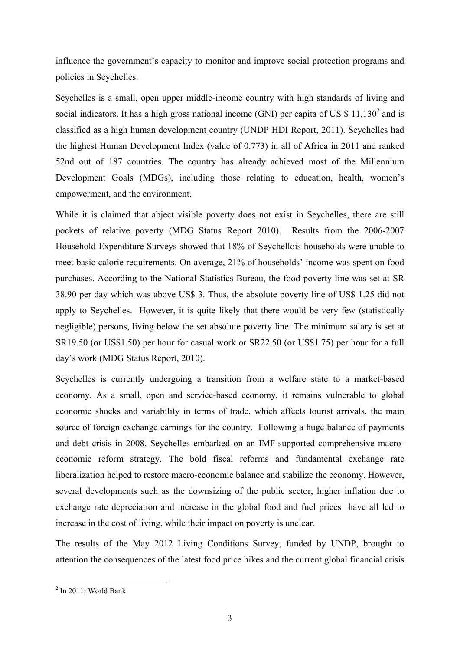influence the government's capacity to monitor and improve social protection programs and policies in Seychelles.

Seychelles is a small, open upper middle-income country with high standards of living and social indicators. It has a high gross national income (GNI) per capita of US  $$11,130^2$  and is classified as a high human development country (UNDP HDI Report, 2011). Seychelles had the highest Human Development Index (value of 0.773) in all of Africa in 2011 and ranked 52nd out of 187 countries. The country has already achieved most of the Millennium Development Goals (MDGs), including those relating to education, health, women's empowerment, and the environment.

While it is claimed that abject visible poverty does not exist in Seychelles, there are still pockets of relative poverty (MDG Status Report 2010). Results from the 2006-2007 Household Expenditure Surveys showed that 18% of Seychellois households were unable to meet basic calorie requirements. On average, 21% of households' income was spent on food purchases. According to the National Statistics Bureau, the food poverty line was set at SR 38.90 per day which was above US\$ 3. Thus, the absolute poverty line of US\$ 1.25 did not apply to Seychelles. However, it is quite likely that there would be very few (statistically negligible) persons, living below the set absolute poverty line. The minimum salary is set at SR19.50 (or US\$1.50) per hour for casual work or SR22.50 (or US\$1.75) per hour for a full day's work (MDG Status Report, 2010).

Seychelles is currently undergoing a transition from a welfare state to a market-based economy. As a small, open and service-based economy, it remains vulnerable to global economic shocks and variability in terms of trade, which affects tourist arrivals, the main source of foreign exchange earnings for the country. Following a huge balance of payments and debt crisis in 2008, Seychelles embarked on an IMF-supported comprehensive macroeconomic reform strategy. The bold fiscal reforms and fundamental exchange rate liberalization helped to restore macro-economic balance and stabilize the economy. However, several developments such as the downsizing of the public sector, higher inflation due to exchange rate depreciation and increase in the global food and fuel prices have all led to increase in the cost of living, while their impact on poverty is unclear.

The results of the May 2012 Living Conditions Survey, funded by UNDP, brought to attention the consequences of the latest food price hikes and the current global financial crisis

 2 In 2011; World Bank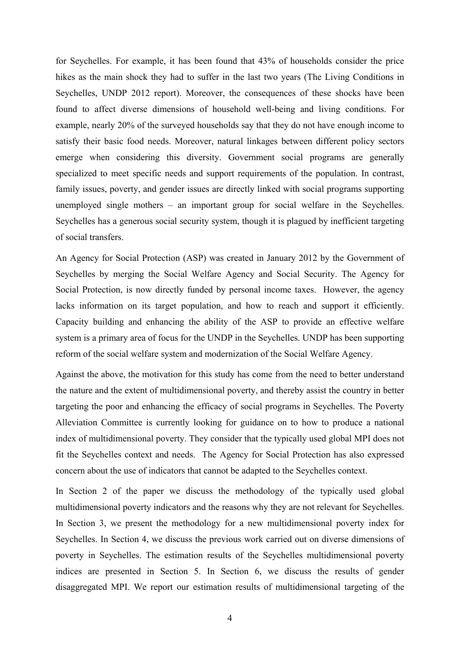for Seychelles. For example, it has been found that 43% of households consider the price hikes as the main shock they had to suffer in the last two years (The Living Conditions in Seychelles, UNDP 2012 report). Moreover, the consequences of these shocks have been found to affect diverse dimensions of household well-being and living conditions. For example, nearly 20% of the surveyed households say that they do not have enough income to satisfy their basic food needs. Moreover, natural linkages between different policy sectors emerge when considering this diversity. Government social programs are generally specialized to meet specific needs and support requirements of the population. In contrast, family issues, poverty, and gender issues are directly linked with social programs supporting unemployed single mothers – an important group for social welfare in the Seychelles. Seychelles has a generous social security system, though it is plagued by inefficient targeting of social transfers.

An Agency for Social Protection (ASP) was created in January 2012 by the Government of Seychelles by merging the Social Welfare Agency and Social Security. The Agency for Social Protection, is now directly funded by personal income taxes. However, the agency lacks information on its target population, and how to reach and support it efficiently. Capacity building and enhancing the ability of the ASP to provide an effective welfare system is a primary area of focus for the UNDP in the Seychelles. UNDP has been supporting reform of the social welfare system and modernization of the Social Welfare Agency.

Against the above, the motivation for this study has come from the need to better understand the nature and the extent of multidimensional poverty, and thereby assist the country in better targeting the poor and enhancing the efficacy of social programs in Seychelles. The Poverty Alleviation Committee is currently looking for guidance on to how to produce a national index of multidimensional poverty. They consider that the typically used global MPI does not fit the Seychelles context and needs. The Agency for Social Protection has also expressed concern about the use of indicators that cannot be adapted to the Seychelles context.

In Section 2 of the paper we discuss the methodology of the typically used global multidimensional poverty indicators and the reasons why they are not relevant for Seychelles. In Section 3, we present the methodology for a new multidimensional poverty index for Seychelles. In Section 4, we discuss the previous work carried out on diverse dimensions of poverty in Seychelles. The estimation results of the Seychelles multidimensional poverty indices are presented in Section 5. In Section 6, we discuss the results of gender disaggregated MPI. We report our estimation results of multidimensional targeting of the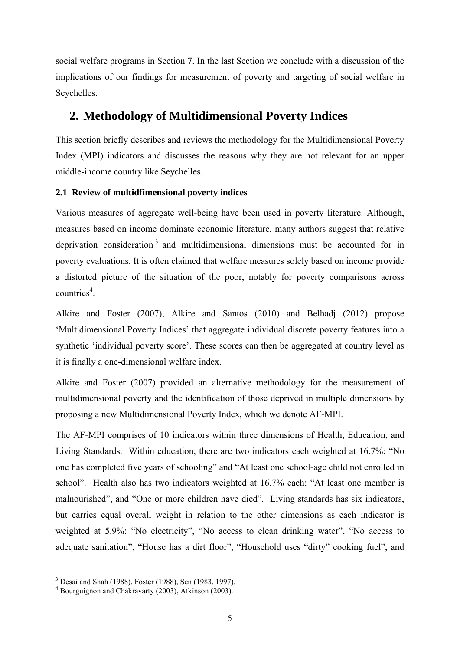social welfare programs in Section 7. In the last Section we conclude with a discussion of the implications of our findings for measurement of poverty and targeting of social welfare in Seychelles.

### **2. Methodology of Multidimensional Poverty Indices**

This section briefly describes and reviews the methodology for the Multidimensional Poverty Index (MPI) indicators and discusses the reasons why they are not relevant for an upper middle-income country like Seychelles.

### **2.1 Review of multidfimensional poverty indices**

Various measures of aggregate well-being have been used in poverty literature. Although, measures based on income dominate economic literature, many authors suggest that relative deprivation consideration  $3$  and multidimensional dimensions must be accounted for in poverty evaluations. It is often claimed that welfare measures solely based on income provide a distorted picture of the situation of the poor, notably for poverty comparisons across countries<sup>4</sup>.

Alkire and Foster (2007), Alkire and Santos (2010) and Belhadj (2012) propose 'Multidimensional Poverty Indices' that aggregate individual discrete poverty features into a synthetic 'individual poverty score'. These scores can then be aggregated at country level as it is finally a one-dimensional welfare index.

Alkire and Foster (2007) provided an alternative methodology for the measurement of multidimensional poverty and the identification of those deprived in multiple dimensions by proposing a new Multidimensional Poverty Index, which we denote AF-MPI.

The AF-MPI comprises of 10 indicators within three dimensions of Health, Education, and Living Standards. Within education, there are two indicators each weighted at 16.7%: "No one has completed five years of schooling" and "At least one school-age child not enrolled in school". Health also has two indicators weighted at 16.7% each: "At least one member is malnourished", and "One or more children have died". Living standards has six indicators, but carries equal overall weight in relation to the other dimensions as each indicator is weighted at 5.9%: "No electricity", "No access to clean drinking water", "No access to adequate sanitation", "House has a dirt floor", "Household uses "dirty" cooking fuel", and

<u>.</u>

<sup>3</sup> Desai and Shah (1988), Foster (1988), Sen (1983, 1997).

<sup>4</sup> Bourguignon and Chakravarty (2003), Atkinson (2003).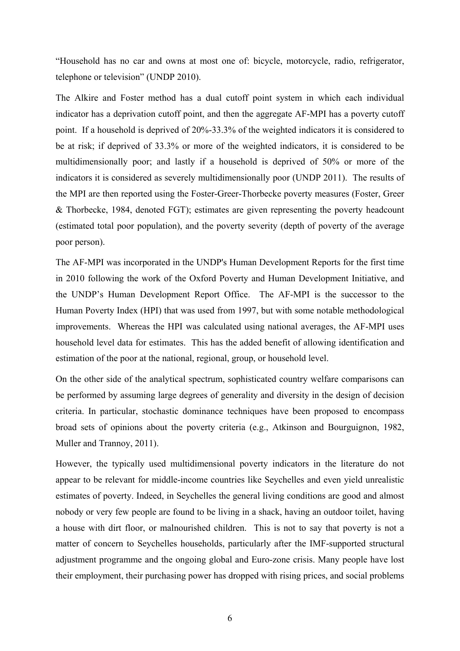"Household has no car and owns at most one of: bicycle, motorcycle, radio, refrigerator, telephone or television" (UNDP 2010).

The Alkire and Foster method has a dual cutoff point system in which each individual indicator has a deprivation cutoff point, and then the aggregate AF-MPI has a poverty cutoff point. If a household is deprived of 20%-33.3% of the weighted indicators it is considered to be at risk; if deprived of 33.3% or more of the weighted indicators, it is considered to be multidimensionally poor; and lastly if a household is deprived of 50% or more of the indicators it is considered as severely multidimensionally poor (UNDP 2011). The results of the MPI are then reported using the Foster-Greer-Thorbecke poverty measures (Foster, Greer & Thorbecke, 1984, denoted FGT); estimates are given representing the poverty headcount (estimated total poor population), and the poverty severity (depth of poverty of the average poor person).

The AF-MPI was incorporated in the UNDP's Human Development Reports for the first time in 2010 following the work of the Oxford Poverty and Human Development Initiative, and the UNDP's Human Development Report Office. The AF-MPI is the successor to the Human Poverty Index (HPI) that was used from 1997, but with some notable methodological improvements. Whereas the HPI was calculated using national averages, the AF-MPI uses household level data for estimates. This has the added benefit of allowing identification and estimation of the poor at the national, regional, group, or household level.

On the other side of the analytical spectrum, sophisticated country welfare comparisons can be performed by assuming large degrees of generality and diversity in the design of decision criteria. In particular, stochastic dominance techniques have been proposed to encompass broad sets of opinions about the poverty criteria (e.g., Atkinson and Bourguignon, 1982, Muller and Trannoy, 2011).

However, the typically used multidimensional poverty indicators in the literature do not appear to be relevant for middle-income countries like Seychelles and even yield unrealistic estimates of poverty. Indeed, in Seychelles the general living conditions are good and almost nobody or very few people are found to be living in a shack, having an outdoor toilet, having a house with dirt floor, or malnourished children. This is not to say that poverty is not a matter of concern to Seychelles households, particularly after the IMF-supported structural adjustment programme and the ongoing global and Euro-zone crisis. Many people have lost their employment, their purchasing power has dropped with rising prices, and social problems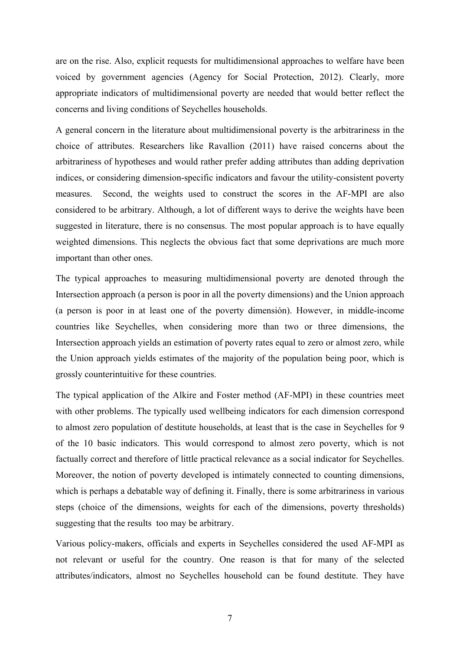are on the rise. Also, explicit requests for multidimensional approaches to welfare have been voiced by government agencies (Agency for Social Protection, 2012). Clearly, more appropriate indicators of multidimensional poverty are needed that would better reflect the concerns and living conditions of Seychelles households.

A general concern in the literature about multidimensional poverty is the arbitrariness in the choice of attributes. Researchers like Ravallion (2011) have raised concerns about the arbitrariness of hypotheses and would rather prefer adding attributes than adding deprivation indices, or considering dimension-specific indicators and favour the utility-consistent poverty measures. Second, the weights used to construct the scores in the AF-MPI are also considered to be arbitrary. Although, a lot of different ways to derive the weights have been suggested in literature, there is no consensus. The most popular approach is to have equally weighted dimensions. This neglects the obvious fact that some deprivations are much more important than other ones.

The typical approaches to measuring multidimensional poverty are denoted through the Intersection approach (a person is poor in all the poverty dimensions) and the Union approach (a person is poor in at least one of the poverty dimensión). However, in middle-income countries like Seychelles, when considering more than two or three dimensions, the Intersection approach yields an estimation of poverty rates equal to zero or almost zero, while the Union approach yields estimates of the majority of the population being poor, which is grossly counterintuitive for these countries.

The typical application of the Alkire and Foster method (AF-MPI) in these countries meet with other problems. The typically used wellbeing indicators for each dimension correspond to almost zero population of destitute households, at least that is the case in Seychelles for 9 of the 10 basic indicators. This would correspond to almost zero poverty, which is not factually correct and therefore of little practical relevance as a social indicator for Seychelles. Moreover, the notion of poverty developed is intimately connected to counting dimensions, which is perhaps a debatable way of defining it. Finally, there is some arbitrariness in various steps (choice of the dimensions, weights for each of the dimensions, poverty thresholds) suggesting that the results too may be arbitrary.

Various policy-makers, officials and experts in Seychelles considered the used AF-MPI as not relevant or useful for the country. One reason is that for many of the selected attributes/indicators, almost no Seychelles household can be found destitute. They have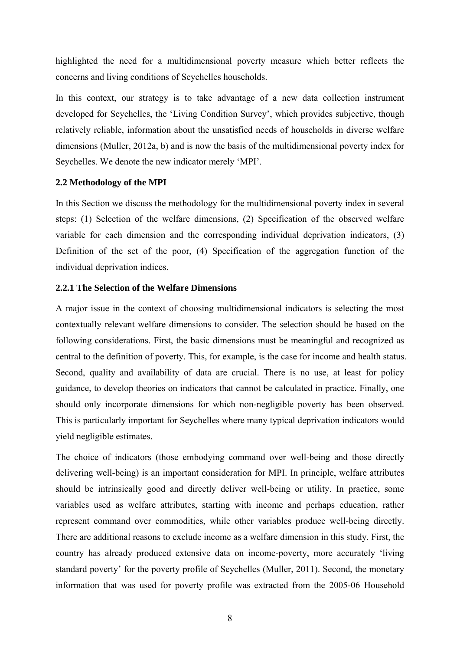highlighted the need for a multidimensional poverty measure which better reflects the concerns and living conditions of Seychelles households.

In this context, our strategy is to take advantage of a new data collection instrument developed for Seychelles, the 'Living Condition Survey', which provides subjective, though relatively reliable, information about the unsatisfied needs of households in diverse welfare dimensions (Muller, 2012a, b) and is now the basis of the multidimensional poverty index for Seychelles. We denote the new indicator merely 'MPI'.

#### **2.2 Methodology of the MPI**

In this Section we discuss the methodology for the multidimensional poverty index in several steps: (1) Selection of the welfare dimensions, (2) Specification of the observed welfare variable for each dimension and the corresponding individual deprivation indicators, (3) Definition of the set of the poor, (4) Specification of the aggregation function of the individual deprivation indices.

#### **2.2.1 The Selection of the Welfare Dimensions**

A major issue in the context of choosing multidimensional indicators is selecting the most contextually relevant welfare dimensions to consider. The selection should be based on the following considerations. First, the basic dimensions must be meaningful and recognized as central to the definition of poverty. This, for example, is the case for income and health status. Second, quality and availability of data are crucial. There is no use, at least for policy guidance, to develop theories on indicators that cannot be calculated in practice. Finally, one should only incorporate dimensions for which non-negligible poverty has been observed. This is particularly important for Seychelles where many typical deprivation indicators would yield negligible estimates.

The choice of indicators (those embodying command over well-being and those directly delivering well-being) is an important consideration for MPI. In principle, welfare attributes should be intrinsically good and directly deliver well-being or utility. In practice, some variables used as welfare attributes, starting with income and perhaps education, rather represent command over commodities, while other variables produce well-being directly. There are additional reasons to exclude income as a welfare dimension in this study. First, the country has already produced extensive data on income-poverty, more accurately 'living standard poverty' for the poverty profile of Seychelles (Muller, 2011). Second, the monetary information that was used for poverty profile was extracted from the 2005-06 Household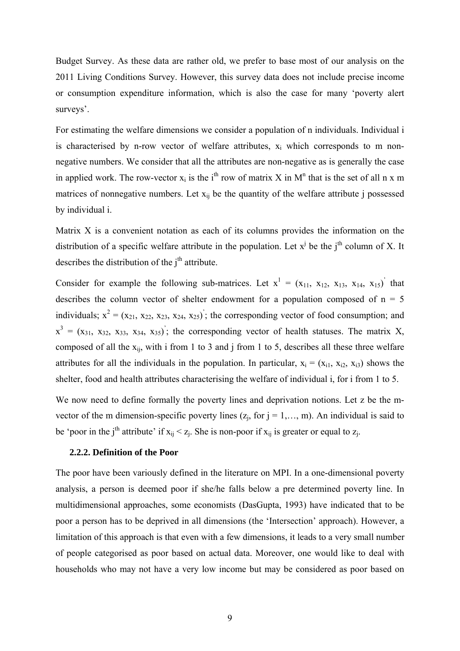Budget Survey. As these data are rather old, we prefer to base most of our analysis on the 2011 Living Conditions Survey. However, this survey data does not include precise income or consumption expenditure information, which is also the case for many 'poverty alert surveys'.

For estimating the welfare dimensions we consider a population of n individuals. Individual i is characterised by n-row vector of welfare attributes,  $x_i$  which corresponds to m nonnegative numbers. We consider that all the attributes are non-negative as is generally the case in applied work. The row-vector  $x_i$  is the i<sup>th</sup> row of matrix X in M<sup>n</sup> that is the set of all n x m matrices of nonnegative numbers. Let  $x_{ij}$  be the quantity of the welfare attribute j possessed by individual i.

Matrix X is a convenient notation as each of its columns provides the information on the distribution of a specific welfare attribute in the population. Let  $x^j$  be the  $j^{\text{th}}$  column of X. It describes the distribution of the  $i<sup>th</sup>$  attribute.

Consider for example the following sub-matrices. Let  $x^1 = (x_{11}, x_{12}, x_{13}, x_{14}, x_{15})$  that describes the column vector of shelter endowment for a population composed of  $n = 5$ individuals;  $x^2 = (x_{21}, x_{22}, x_{23}, x_{24}, x_{25})$ ; the corresponding vector of food consumption; and  $x^3 = (x_{31}, x_{32}, x_{33}, x_{34}, x_{35})$ ; the corresponding vector of health statuses. The matrix X, composed of all the  $x_{ij}$ , with i from 1 to 3 and j from 1 to 5, describes all these three welfare attributes for all the individuals in the population. In particular,  $x_i = (x_{i1}, x_{i2}, x_{i3})$  shows the shelter, food and health attributes characterising the welfare of individual i, for i from 1 to 5.

We now need to define formally the poverty lines and deprivation notions. Let z be the mvector of the m dimension-specific poverty lines  $(z_j, for j = 1,..., m)$ . An individual is said to be 'poor in the j<sup>th</sup> attribute' if  $x_{ij} < z_j$ . She is non-poor if  $x_{ij}$  is greater or equal to  $z_j$ .

#### **2.2.2. Definition of the Poor**

The poor have been variously defined in the literature on MPI. In a one-dimensional poverty analysis, a person is deemed poor if she/he falls below a pre determined poverty line. In multidimensional approaches, some economists (DasGupta, 1993) have indicated that to be poor a person has to be deprived in all dimensions (the 'Intersection' approach). However, a limitation of this approach is that even with a few dimensions, it leads to a very small number of people categorised as poor based on actual data. Moreover, one would like to deal with households who may not have a very low income but may be considered as poor based on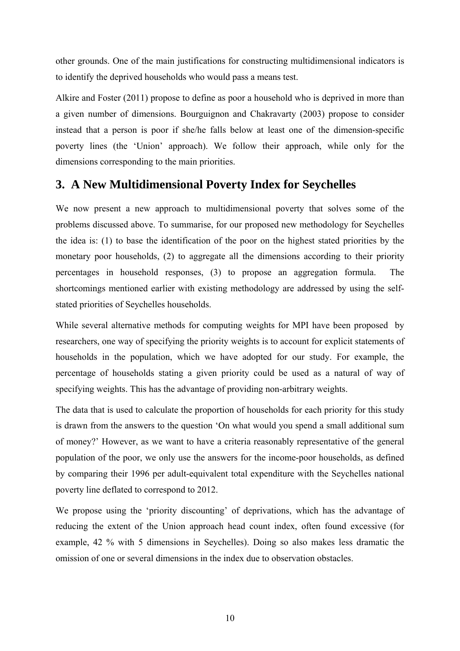other grounds. One of the main justifications for constructing multidimensional indicators is to identify the deprived households who would pass a means test.

Alkire and Foster (2011) propose to define as poor a household who is deprived in more than a given number of dimensions. Bourguignon and Chakravarty (2003) propose to consider instead that a person is poor if she/he falls below at least one of the dimension-specific poverty lines (the 'Union' approach). We follow their approach, while only for the dimensions corresponding to the main priorities.

# **3. A New Multidimensional Poverty Index for Seychelles**

We now present a new approach to multidimensional poverty that solves some of the problems discussed above. To summarise, for our proposed new methodology for Seychelles the idea is: (1) to base the identification of the poor on the highest stated priorities by the monetary poor households, (2) to aggregate all the dimensions according to their priority percentages in household responses, (3) to propose an aggregation formula. The shortcomings mentioned earlier with existing methodology are addressed by using the selfstated priorities of Seychelles households.

While several alternative methods for computing weights for MPI have been proposed by researchers, one way of specifying the priority weights is to account for explicit statements of households in the population, which we have adopted for our study. For example, the percentage of households stating a given priority could be used as a natural of way of specifying weights. This has the advantage of providing non-arbitrary weights.

The data that is used to calculate the proportion of households for each priority for this study is drawn from the answers to the question 'On what would you spend a small additional sum of money?' However, as we want to have a criteria reasonably representative of the general population of the poor, we only use the answers for the income-poor households, as defined by comparing their 1996 per adult-equivalent total expenditure with the Seychelles national poverty line deflated to correspond to 2012.

We propose using the 'priority discounting' of deprivations, which has the advantage of reducing the extent of the Union approach head count index, often found excessive (for example, 42 % with 5 dimensions in Seychelles). Doing so also makes less dramatic the omission of one or several dimensions in the index due to observation obstacles.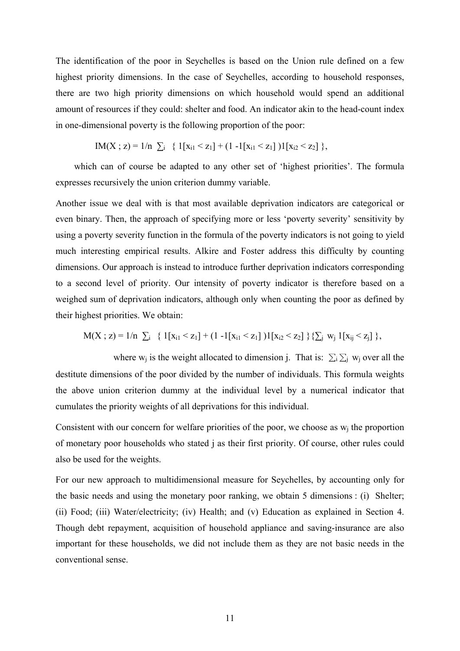The identification of the poor in Seychelles is based on the Union rule defined on a few highest priority dimensions. In the case of Seychelles, according to household responses, there are two high priority dimensions on which household would spend an additional amount of resources if they could: shelter and food. An indicator akin to the head-count index in one-dimensional poverty is the following proportion of the poor:

$$
IM(X ; z) = 1/n \sum_i \{ 1[x_{i1} < z_1] + (1 - 1[x_{i1} < z_1])1[x_{i2} < z_2] \},
$$

 which can of course be adapted to any other set of 'highest priorities'. The formula expresses recursively the union criterion dummy variable.

Another issue we deal with is that most available deprivation indicators are categorical or even binary. Then, the approach of specifying more or less 'poverty severity' sensitivity by using a poverty severity function in the formula of the poverty indicators is not going to yield much interesting empirical results. Alkire and Foster address this difficulty by counting dimensions. Our approach is instead to introduce further deprivation indicators corresponding to a second level of priority. Our intensity of poverty indicator is therefore based on a weighed sum of deprivation indicators, although only when counting the poor as defined by their highest priorities. We obtain:

$$
M(X; z) = 1/n \sum_i \{ 1[x_{i1} < z_1] + (1 - 1[x_{i1} < z_1])1[x_{i2} < z_2] \} \{ \sum_i w_j 1[x_{ij} < z_j] \},
$$

where w<sub>j</sub> is the weight allocated to dimension j. That is:  $\sum_i \sum_j w_j$  over all the destitute dimensions of the poor divided by the number of individuals. This formula weights the above union criterion dummy at the individual level by a numerical indicator that cumulates the priority weights of all deprivations for this individual.

Consistent with our concern for welfare priorities of the poor, we choose as  $w_i$  the proportion of monetary poor households who stated j as their first priority. Of course, other rules could also be used for the weights.

For our new approach to multidimensional measure for Seychelles, by accounting only for the basic needs and using the monetary poor ranking, we obtain 5 dimensions : (i) Shelter; (ii) Food; (iii) Water/electricity; (iv) Health; and (v) Education as explained in Section 4. Though debt repayment, acquisition of household appliance and saving-insurance are also important for these households, we did not include them as they are not basic needs in the conventional sense.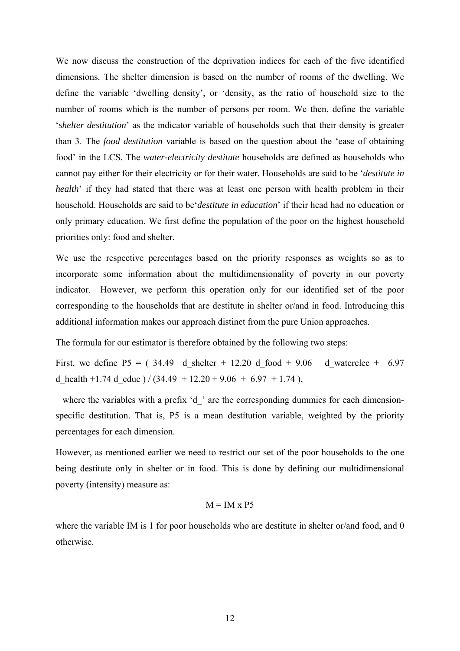We now discuss the construction of the deprivation indices for each of the five identified dimensions. The shelter dimension is based on the number of rooms of the dwelling. We define the variable 'dwelling density', or 'density, as the ratio of household size to the number of rooms which is the number of persons per room. We then, define the variable '*shelter destitution*' as the indicator variable of households such that their density is greater than 3. The *food destitution* variable is based on the question about the 'ease of obtaining food' in the LCS. The *water-electricity destitute* households are defined as households who cannot pay either for their electricity or for their water. Households are said to be '*destitute in health*' if they had stated that there was at least one person with health problem in their household. Households are said to be'*destitute in education*' if their head had no education or only primary education. We first define the population of the poor on the highest household priorities only: food and shelter.

We use the respective percentages based on the priority responses as weights so as to incorporate some information about the multidimensionality of poverty in our poverty indicator. However, we perform this operation only for our identified set of the poor corresponding to the households that are destitute in shelter or/and in food. Introducing this additional information makes our approach distinct from the pure Union approaches.

The formula for our estimator is therefore obtained by the following two steps:

First, we define P5 = ( $34.49$  d shelter + 12.20 d food + 9.06 d waterelec + 6.97 d health +1.74 d educ  $)/ (34.49 + 12.20 + 9.06 + 6.97 + 1.74)$ ,

where the variables with a prefix 'd' are the corresponding dummies for each dimensionspecific destitution. That is, P5 is a mean destitution variable, weighted by the priority percentages for each dimension.

However, as mentioned earlier we need to restrict our set of the poor households to the one being destitute only in shelter or in food. This is done by defining our multidimensional poverty (intensity) measure as:

#### $M = IM \times P5$

where the variable IM is 1 for poor households who are destitute in shelter or/and food, and 0 otherwise.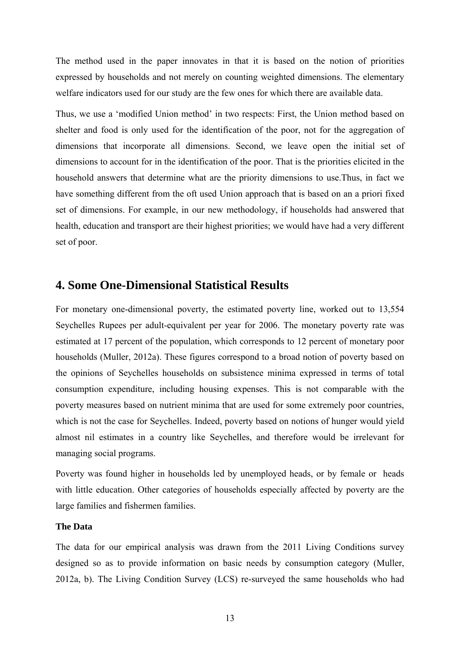The method used in the paper innovates in that it is based on the notion of priorities expressed by households and not merely on counting weighted dimensions. The elementary welfare indicators used for our study are the few ones for which there are available data.

Thus, we use a 'modified Union method' in two respects: First, the Union method based on shelter and food is only used for the identification of the poor, not for the aggregation of dimensions that incorporate all dimensions. Second, we leave open the initial set of dimensions to account for in the identification of the poor. That is the priorities elicited in the household answers that determine what are the priority dimensions to use.Thus, in fact we have something different from the oft used Union approach that is based on an a priori fixed set of dimensions. For example, in our new methodology, if households had answered that health, education and transport are their highest priorities; we would have had a very different set of poor.

### **4. Some One-Dimensional Statistical Results**

For monetary one-dimensional poverty, the estimated poverty line, worked out to 13,554 Seychelles Rupees per adult-equivalent per year for 2006. The monetary poverty rate was estimated at 17 percent of the population, which corresponds to 12 percent of monetary poor households (Muller, 2012a). These figures correspond to a broad notion of poverty based on the opinions of Seychelles households on subsistence minima expressed in terms of total consumption expenditure, including housing expenses. This is not comparable with the poverty measures based on nutrient minima that are used for some extremely poor countries, which is not the case for Seychelles. Indeed, poverty based on notions of hunger would yield almost nil estimates in a country like Seychelles, and therefore would be irrelevant for managing social programs.

Poverty was found higher in households led by unemployed heads, or by female or heads with little education. Other categories of households especially affected by poverty are the large families and fishermen families.

#### **The Data**

The data for our empirical analysis was drawn from the 2011 Living Conditions survey designed so as to provide information on basic needs by consumption category (Muller, 2012a, b). The Living Condition Survey (LCS) re-surveyed the same households who had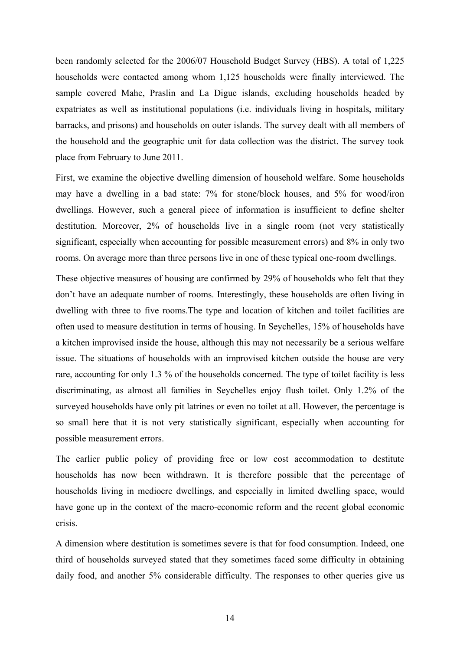been randomly selected for the 2006/07 Household Budget Survey (HBS). A total of 1,225 households were contacted among whom 1,125 households were finally interviewed. The sample covered Mahe, Praslin and La Digue islands, excluding households headed by expatriates as well as institutional populations (i.e. individuals living in hospitals, military barracks, and prisons) and households on outer islands. The survey dealt with all members of the household and the geographic unit for data collection was the district. The survey took place from February to June 2011.

First, we examine the objective dwelling dimension of household welfare. Some households may have a dwelling in a bad state: 7% for stone/block houses, and 5% for wood/iron dwellings. However, such a general piece of information is insufficient to define shelter destitution. Moreover, 2% of households live in a single room (not very statistically significant, especially when accounting for possible measurement errors) and 8% in only two rooms. On average more than three persons live in one of these typical one-room dwellings.

These objective measures of housing are confirmed by 29% of households who felt that they don't have an adequate number of rooms. Interestingly, these households are often living in dwelling with three to five rooms.The type and location of kitchen and toilet facilities are often used to measure destitution in terms of housing. In Seychelles, 15% of households have a kitchen improvised inside the house, although this may not necessarily be a serious welfare issue. The situations of households with an improvised kitchen outside the house are very rare, accounting for only 1.3 % of the households concerned. The type of toilet facility is less discriminating, as almost all families in Seychelles enjoy flush toilet. Only 1.2% of the surveyed households have only pit latrines or even no toilet at all. However, the percentage is so small here that it is not very statistically significant, especially when accounting for possible measurement errors.

The earlier public policy of providing free or low cost accommodation to destitute households has now been withdrawn. It is therefore possible that the percentage of households living in mediocre dwellings, and especially in limited dwelling space, would have gone up in the context of the macro-economic reform and the recent global economic crisis.

A dimension where destitution is sometimes severe is that for food consumption. Indeed, one third of households surveyed stated that they sometimes faced some difficulty in obtaining daily food, and another 5% considerable difficulty. The responses to other queries give us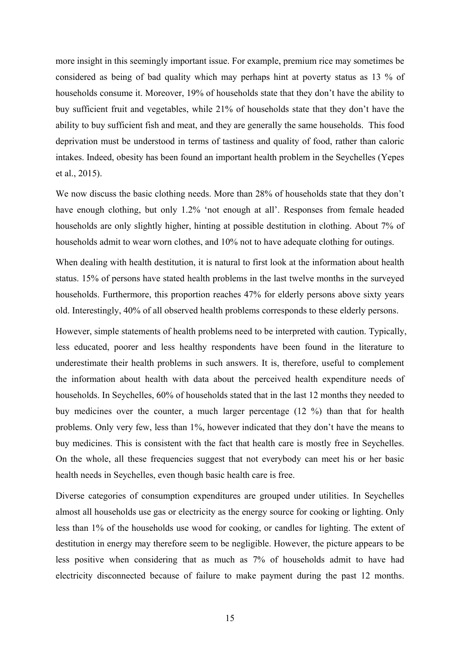more insight in this seemingly important issue. For example, premium rice may sometimes be considered as being of bad quality which may perhaps hint at poverty status as 13 % of households consume it. Moreover, 19% of households state that they don't have the ability to buy sufficient fruit and vegetables, while 21% of households state that they don't have the ability to buy sufficient fish and meat, and they are generally the same households. This food deprivation must be understood in terms of tastiness and quality of food, rather than caloric intakes. Indeed, obesity has been found an important health problem in the Seychelles (Yepes et al., 2015).

We now discuss the basic clothing needs. More than 28% of households state that they don't have enough clothing, but only 1.2% 'not enough at all'. Responses from female headed households are only slightly higher, hinting at possible destitution in clothing. About 7% of households admit to wear worn clothes, and 10% not to have adequate clothing for outings.

When dealing with health destitution, it is natural to first look at the information about health status. 15% of persons have stated health problems in the last twelve months in the surveyed households. Furthermore, this proportion reaches 47% for elderly persons above sixty years old. Interestingly, 40% of all observed health problems corresponds to these elderly persons.

However, simple statements of health problems need to be interpreted with caution. Typically, less educated, poorer and less healthy respondents have been found in the literature to underestimate their health problems in such answers. It is, therefore, useful to complement the information about health with data about the perceived health expenditure needs of households. In Seychelles, 60% of households stated that in the last 12 months they needed to buy medicines over the counter, a much larger percentage (12 %) than that for health problems. Only very few, less than 1%, however indicated that they don't have the means to buy medicines. This is consistent with the fact that health care is mostly free in Seychelles. On the whole, all these frequencies suggest that not everybody can meet his or her basic health needs in Seychelles, even though basic health care is free.

Diverse categories of consumption expenditures are grouped under utilities. In Seychelles almost all households use gas or electricity as the energy source for cooking or lighting. Only less than 1% of the households use wood for cooking, or candles for lighting. The extent of destitution in energy may therefore seem to be negligible. However, the picture appears to be less positive when considering that as much as 7% of households admit to have had electricity disconnected because of failure to make payment during the past 12 months.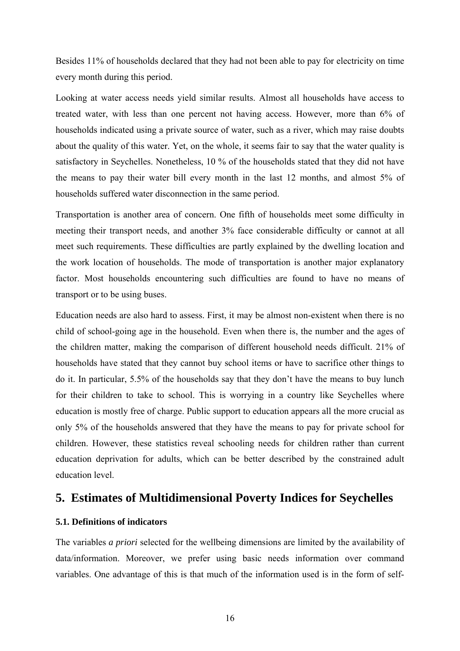Besides 11% of households declared that they had not been able to pay for electricity on time every month during this period.

Looking at water access needs yield similar results. Almost all households have access to treated water, with less than one percent not having access. However, more than 6% of households indicated using a private source of water, such as a river, which may raise doubts about the quality of this water. Yet, on the whole, it seems fair to say that the water quality is satisfactory in Seychelles. Nonetheless, 10 % of the households stated that they did not have the means to pay their water bill every month in the last 12 months, and almost 5% of households suffered water disconnection in the same period.

Transportation is another area of concern. One fifth of households meet some difficulty in meeting their transport needs, and another 3% face considerable difficulty or cannot at all meet such requirements. These difficulties are partly explained by the dwelling location and the work location of households. The mode of transportation is another major explanatory factor. Most households encountering such difficulties are found to have no means of transport or to be using buses.

Education needs are also hard to assess. First, it may be almost non-existent when there is no child of school-going age in the household. Even when there is, the number and the ages of the children matter, making the comparison of different household needs difficult. 21% of households have stated that they cannot buy school items or have to sacrifice other things to do it. In particular, 5.5% of the households say that they don't have the means to buy lunch for their children to take to school. This is worrying in a country like Seychelles where education is mostly free of charge. Public support to education appears all the more crucial as only 5% of the households answered that they have the means to pay for private school for children. However, these statistics reveal schooling needs for children rather than current education deprivation for adults, which can be better described by the constrained adult education level.

### **5. Estimates of Multidimensional Poverty Indices for Seychelles**

### **5.1. Definitions of indicators**

The variables *a priori* selected for the wellbeing dimensions are limited by the availability of data/information. Moreover, we prefer using basic needs information over command variables. One advantage of this is that much of the information used is in the form of self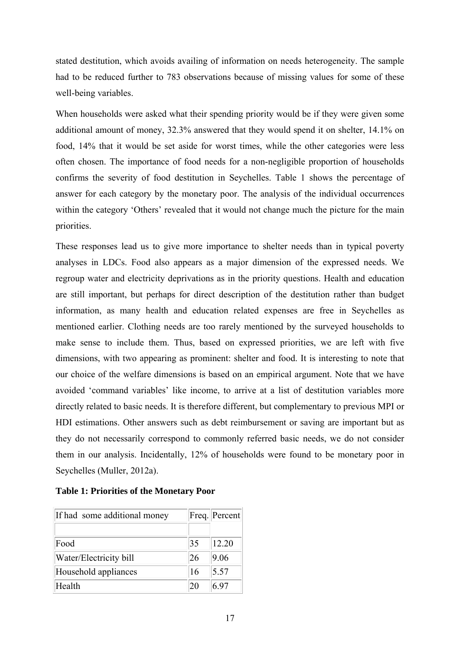stated destitution, which avoids availing of information on needs heterogeneity. The sample had to be reduced further to 783 observations because of missing values for some of these well-being variables.

When households were asked what their spending priority would be if they were given some additional amount of money, 32.3% answered that they would spend it on shelter, 14.1% on food, 14% that it would be set aside for worst times, while the other categories were less often chosen. The importance of food needs for a non-negligible proportion of households confirms the severity of food destitution in Seychelles. Table 1 shows the percentage of answer for each category by the monetary poor. The analysis of the individual occurrences within the category 'Others' revealed that it would not change much the picture for the main priorities.

These responses lead us to give more importance to shelter needs than in typical poverty analyses in LDCs. Food also appears as a major dimension of the expressed needs. We regroup water and electricity deprivations as in the priority questions. Health and education are still important, but perhaps for direct description of the destitution rather than budget information, as many health and education related expenses are free in Seychelles as mentioned earlier. Clothing needs are too rarely mentioned by the surveyed households to make sense to include them. Thus, based on expressed priorities, we are left with five dimensions, with two appearing as prominent: shelter and food. It is interesting to note that our choice of the welfare dimensions is based on an empirical argument. Note that we have avoided 'command variables' like income, to arrive at a list of destitution variables more directly related to basic needs. It is therefore different, but complementary to previous MPI or HDI estimations. Other answers such as debt reimbursement or saving are important but as they do not necessarily correspond to commonly referred basic needs, we do not consider them in our analysis. Incidentally, 12% of households were found to be monetary poor in Seychelles (Muller, 2012a).

| If had some additional money |    | Freq. Percent |
|------------------------------|----|---------------|
| Food                         | 35 | 12.20         |
| Water/Electricity bill       | 26 | 9.06          |
| Household appliances         | 16 | 5.57          |
| Health                       |    | 6 ዓ7          |

**Table 1: Priorities of the Monetary Poor**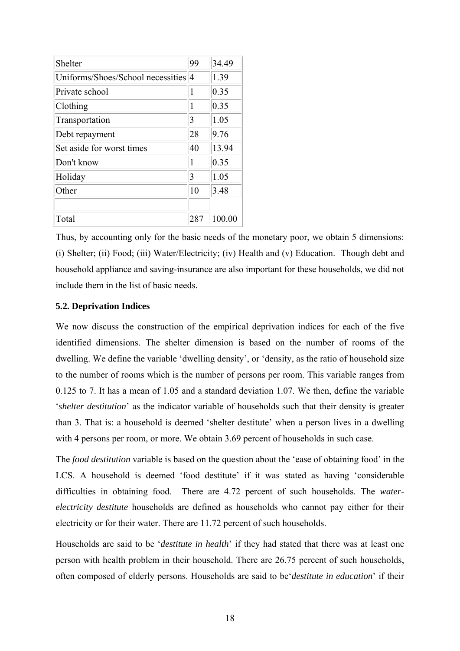| Shelter                             | 99  | 34.49  |
|-------------------------------------|-----|--------|
| Uniforms/Shoes/School necessities 4 |     | 1.39   |
| Private school                      | 1   | 0.35   |
| Clothing                            | 1   | 0.35   |
| Transportation                      | 3   | 1.05   |
| Debt repayment                      | 28  | 9.76   |
| Set aside for worst times           | 40  | 13.94  |
| Don't know                          | 1   | 0.35   |
| Holiday                             | 3   | 1.05   |
| Other                               | 10  | 3.48   |
|                                     |     |        |
| Total                               | 287 | 100.00 |

Thus, by accounting only for the basic needs of the monetary poor, we obtain 5 dimensions: (i) Shelter; (ii) Food; (iii) Water/Electricity; (iv) Health and (v) Education. Though debt and household appliance and saving-insurance are also important for these households, we did not include them in the list of basic needs.

### **5.2. Deprivation Indices**

We now discuss the construction of the empirical deprivation indices for each of the five identified dimensions. The shelter dimension is based on the number of rooms of the dwelling. We define the variable 'dwelling density', or 'density, as the ratio of household size to the number of rooms which is the number of persons per room. This variable ranges from 0.125 to 7. It has a mean of 1.05 and a standard deviation 1.07. We then, define the variable '*shelter destitution*' as the indicator variable of households such that their density is greater than 3. That is: a household is deemed 'shelter destitute' when a person lives in a dwelling with 4 persons per room, or more. We obtain 3.69 percent of households in such case.

The *food destitution* variable is based on the question about the 'ease of obtaining food' in the LCS. A household is deemed 'food destitute' if it was stated as having 'considerable difficulties in obtaining food. There are 4.72 percent of such households. The *waterelectricity destitute* households are defined as households who cannot pay either for their electricity or for their water. There are 11.72 percent of such households.

Households are said to be '*destitute in health*' if they had stated that there was at least one person with health problem in their household. There are 26.75 percent of such households, often composed of elderly persons. Households are said to be'*destitute in education*' if their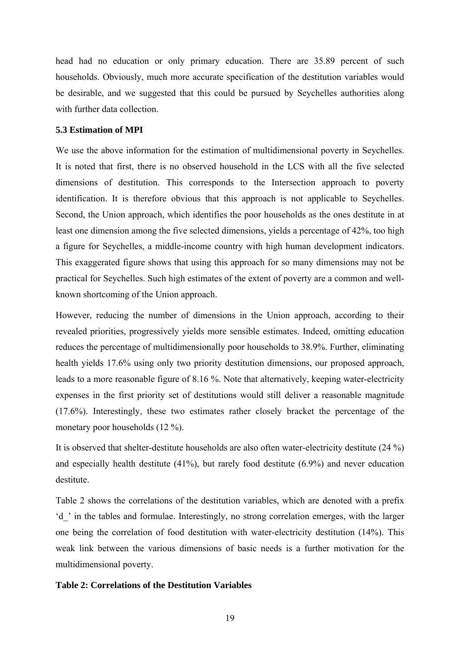head had no education or only primary education. There are 35.89 percent of such households. Obviously, much more accurate specification of the destitution variables would be desirable, and we suggested that this could be pursued by Seychelles authorities along with further data collection.

#### **5.3 Estimation of MPI**

We use the above information for the estimation of multidimensional poverty in Seychelles. It is noted that first, there is no observed household in the LCS with all the five selected dimensions of destitution. This corresponds to the Intersection approach to poverty identification. It is therefore obvious that this approach is not applicable to Seychelles. Second, the Union approach, which identifies the poor households as the ones destitute in at least one dimension among the five selected dimensions, yields a percentage of 42%, too high a figure for Seychelles, a middle-income country with high human development indicators. This exaggerated figure shows that using this approach for so many dimensions may not be practical for Seychelles. Such high estimates of the extent of poverty are a common and wellknown shortcoming of the Union approach.

However, reducing the number of dimensions in the Union approach, according to their revealed priorities, progressively yields more sensible estimates. Indeed, omitting education reduces the percentage of multidimensionally poor households to 38.9%. Further, eliminating health yields 17.6% using only two priority destitution dimensions, our proposed approach, leads to a more reasonable figure of 8.16 %. Note that alternatively, keeping water-electricity expenses in the first priority set of destitutions would still deliver a reasonable magnitude (17.6%). Interestingly, these two estimates rather closely bracket the percentage of the monetary poor households (12 %).

It is observed that shelter-destitute households are also often water-electricity destitute (24 %) and especially health destitute (41%), but rarely food destitute (6.9%) and never education destitute.

Table 2 shows the correlations of the destitution variables, which are denoted with a prefix 'd\_' in the tables and formulae. Interestingly, no strong correlation emerges, with the larger one being the correlation of food destitution with water-electricity destitution (14%). This weak link between the various dimensions of basic needs is a further motivation for the multidimensional poverty.

#### **Table 2: Correlations of the Destitution Variables**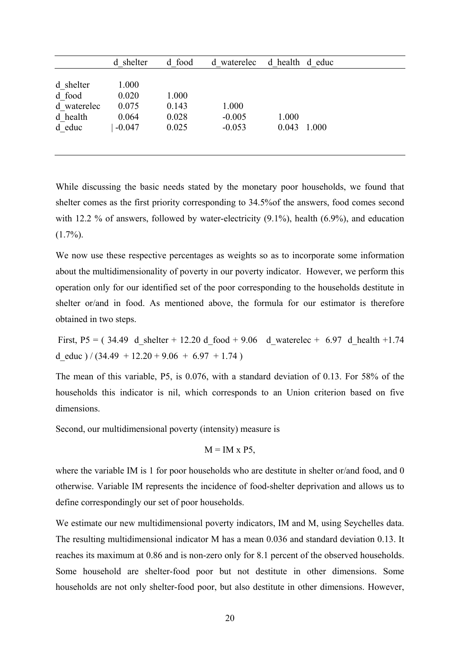|             | d shelter | d food | d waterelec | d health d educ |       |
|-------------|-----------|--------|-------------|-----------------|-------|
|             |           |        |             |                 |       |
| d shelter   | 1.000     |        |             |                 |       |
| d food      | 0.020     | 1.000  |             |                 |       |
| d waterelec | 0.075     | 0.143  | 1.000       |                 |       |
| d health    | 0.064     | 0.028  | $-0.005$    | 1.000           |       |
| d educ      | $-0.047$  | 0.025  | $-0.053$    | 0.043           | 1.000 |
|             |           |        |             |                 |       |
|             |           |        |             |                 |       |

While discussing the basic needs stated by the monetary poor households, we found that shelter comes as the first priority corresponding to 34.5%of the answers, food comes second with 12.2 % of answers, followed by water-electricity (9.1%), health (6.9%), and education  $(1.7\%)$ .

We now use these respective percentages as weights so as to incorporate some information about the multidimensionality of poverty in our poverty indicator. However, we perform this operation only for our identified set of the poor corresponding to the households destitute in shelter or/and in food. As mentioned above, the formula for our estimator is therefore obtained in two steps.

First, P5 = (34.49 d shelter + 12.20 d food + 9.06 d waterelec + 6.97 d health +1.74 d educ  $)/ (34.49 + 12.20 + 9.06 + 6.97 + 1.74)$ 

The mean of this variable, P5, is 0.076, with a standard deviation of 0.13. For 58% of the households this indicator is nil, which corresponds to an Union criterion based on five dimensions.

Second, our multidimensional poverty (intensity) measure is

$$
M = IM \times P5,
$$

where the variable IM is 1 for poor households who are destitute in shelter or/and food, and 0 otherwise. Variable IM represents the incidence of food-shelter deprivation and allows us to define correspondingly our set of poor households.

We estimate our new multidimensional poverty indicators, IM and M, using Seychelles data. The resulting multidimensional indicator M has a mean 0.036 and standard deviation 0.13. It reaches its maximum at 0.86 and is non-zero only for 8.1 percent of the observed households. Some household are shelter-food poor but not destitute in other dimensions. Some households are not only shelter-food poor, but also destitute in other dimensions. However,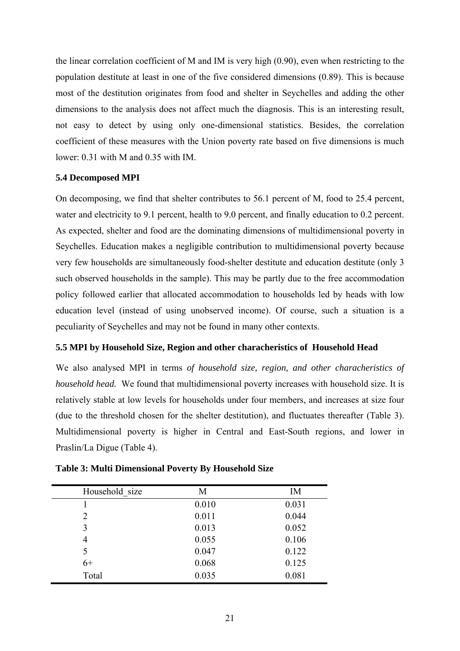the linear correlation coefficient of M and IM is very high (0.90), even when restricting to the population destitute at least in one of the five considered dimensions (0.89). This is because most of the destitution originates from food and shelter in Seychelles and adding the other dimensions to the analysis does not affect much the diagnosis. This is an interesting result, not easy to detect by using only one-dimensional statistics. Besides, the correlation coefficient of these measures with the Union poverty rate based on five dimensions is much lower: 0.31 with M and 0.35 with IM.

#### **5.4 Decomposed MPI**

On decomposing, we find that shelter contributes to 56.1 percent of M, food to 25.4 percent, water and electricity to 9.1 percent, health to 9.0 percent, and finally education to 0.2 percent. As expected, shelter and food are the dominating dimensions of multidimensional poverty in Seychelles. Education makes a negligible contribution to multidimensional poverty because very few households are simultaneously food-shelter destitute and education destitute (only 3 such observed households in the sample). This may be partly due to the free accommodation policy followed earlier that allocated accommodation to households led by heads with low education level (instead of using unobserved income). Of course, such a situation is a peculiarity of Seychelles and may not be found in many other contexts.

#### **5.5 MPI by Household Size, Region and other characheristics of Household Head**

We also analysed MPI in terms *of household size, region, and other characheristics of household head.* We found that multidimensional poverty increases with household size. It is relatively stable at low levels for households under four members, and increases at size four (due to the threshold chosen for the shelter destitution), and fluctuates thereafter (Table 3). Multidimensional poverty is higher in Central and East-South regions, and lower in Praslin/La Digue (Table 4).

| Household size | M     | IM    |
|----------------|-------|-------|
|                | 0.010 | 0.031 |
| 2              | 0.011 | 0.044 |
| 3              | 0.013 | 0.052 |
| 4              | 0.055 | 0.106 |
| 5              | 0.047 | 0.122 |
| $6+$           | 0.068 | 0.125 |
| Total          | 0.035 | 0.081 |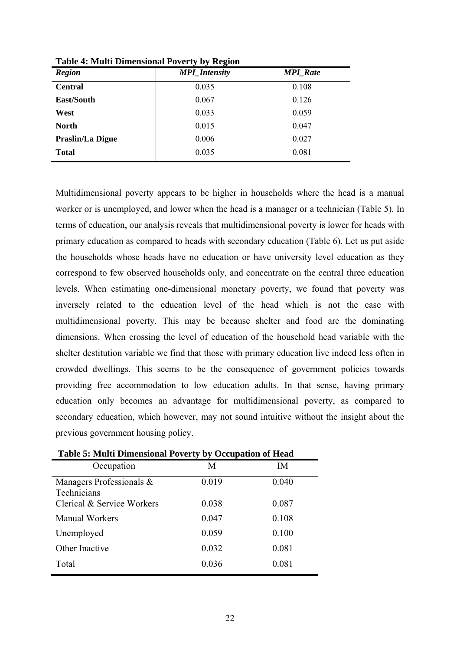| <b>Region</b>           | <b>MPI_Intensity</b> | <b>MPI</b> Rate |
|-------------------------|----------------------|-----------------|
| <b>Central</b>          | 0.035                | 0.108           |
| East/South              | 0.067                | 0.126           |
| West                    | 0.033                | 0.059           |
| <b>North</b>            | 0.015                | 0.047           |
| <b>Praslin/La Digue</b> | 0.006                | 0.027           |
| <b>Total</b>            | 0.035                | 0.081           |

**Table 4: Multi Dimensional Poverty by Region**

Multidimensional poverty appears to be higher in households where the head is a manual worker or is unemployed, and lower when the head is a manager or a technician (Table 5). In terms of education, our analysis reveals that multidimensional poverty is lower for heads with primary education as compared to heads with secondary education (Table 6). Let us put aside the households whose heads have no education or have university level education as they correspond to few observed households only, and concentrate on the central three education levels. When estimating one-dimensional monetary poverty, we found that poverty was inversely related to the education level of the head which is not the case with multidimensional poverty. This may be because shelter and food are the dominating dimensions. When crossing the level of education of the household head variable with the shelter destitution variable we find that those with primary education live indeed less often in crowded dwellings. This seems to be the consequence of government policies towards providing free accommodation to low education adults. In that sense, having primary education only becomes an advantage for multidimensional poverty, as compared to secondary education, which however, may not sound intuitive without the insight about the previous government housing policy.

|                                            | Table 3. Multi Difficiisional I overly by Occupation of Head |       |  |  |  |  |  |
|--------------------------------------------|--------------------------------------------------------------|-------|--|--|--|--|--|
| Occupation                                 | M                                                            | IM    |  |  |  |  |  |
| Managers Professionals $\&$<br>Technicians | 0.019                                                        | 0.040 |  |  |  |  |  |
| Clerical & Service Workers                 | 0.038                                                        | 0.087 |  |  |  |  |  |
| <b>Manual Workers</b>                      | 0.047                                                        | 0.108 |  |  |  |  |  |
| Unemployed                                 | 0.059                                                        | 0.100 |  |  |  |  |  |
| Other Inactive                             | 0.032                                                        | 0.081 |  |  |  |  |  |
| Total                                      | 0.036                                                        | 0.081 |  |  |  |  |  |

**Table 5: Multi Dimensional Poverty by Occupation of Head**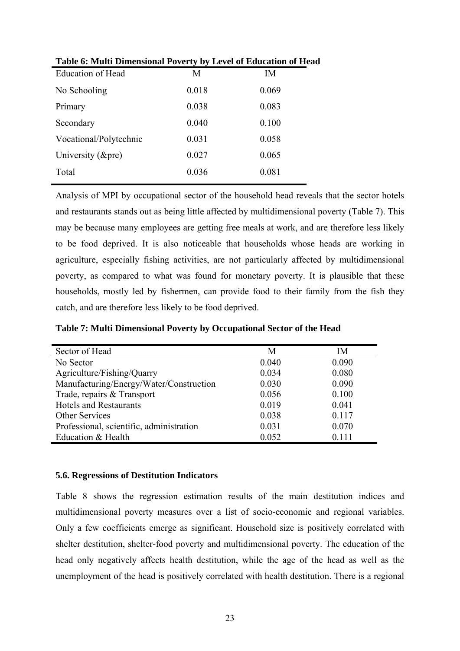| Table v. Multi Dhilelisivilai I overty by Eevel of Equeation of Hea |       |       |
|---------------------------------------------------------------------|-------|-------|
| <b>Education of Head</b>                                            | M     | IM    |
| No Schooling                                                        | 0.018 | 0.069 |
| Primary                                                             | 0.038 | 0.083 |
| Secondary                                                           | 0.040 | 0.100 |
| Vocational/Polytechnic                                              | 0.031 | 0.058 |
| University $(\&$ pre)                                               | 0.027 | 0.065 |
| Total                                                               | 0.036 | 0.081 |
|                                                                     |       |       |

| Table 6: Multi Dimensional Poverty by Level of Education of Head |  |
|------------------------------------------------------------------|--|
|------------------------------------------------------------------|--|

Analysis of MPI by occupational sector of the household head reveals that the sector hotels and restaurants stands out as being little affected by multidimensional poverty (Table 7). This may be because many employees are getting free meals at work, and are therefore less likely to be food deprived. It is also noticeable that households whose heads are working in agriculture, especially fishing activities, are not particularly affected by multidimensional poverty, as compared to what was found for monetary poverty. It is plausible that these households, mostly led by fishermen, can provide food to their family from the fish they catch, and are therefore less likely to be food deprived.

**Table 7: Multi Dimensional Poverty by Occupational Sector of the Head** 

| Sector of Head                           | M     | IM      |
|------------------------------------------|-------|---------|
| No Sector                                | 0.040 | 0.090   |
| Agriculture/Fishing/Quarry               | 0.034 | 0.080   |
| Manufacturing/Energy/Water/Construction  | 0.030 | 0.090   |
| Trade, repairs & Transport               | 0.056 | 0.100   |
| <b>Hotels and Restaurants</b>            | 0.019 | 0.041   |
| <b>Other Services</b>                    | 0.038 | 0.117   |
| Professional, scientific, administration | 0.031 | 0.070   |
| Education & Health                       | 0.052 | 0 1 1 1 |

### **5.6. Regressions of Destitution Indicators**

Table 8 shows the regression estimation results of the main destitution indices and multidimensional poverty measures over a list of socio-economic and regional variables. Only a few coefficients emerge as significant. Household size is positively correlated with shelter destitution, shelter-food poverty and multidimensional poverty. The education of the head only negatively affects health destitution, while the age of the head as well as the unemployment of the head is positively correlated with health destitution. There is a regional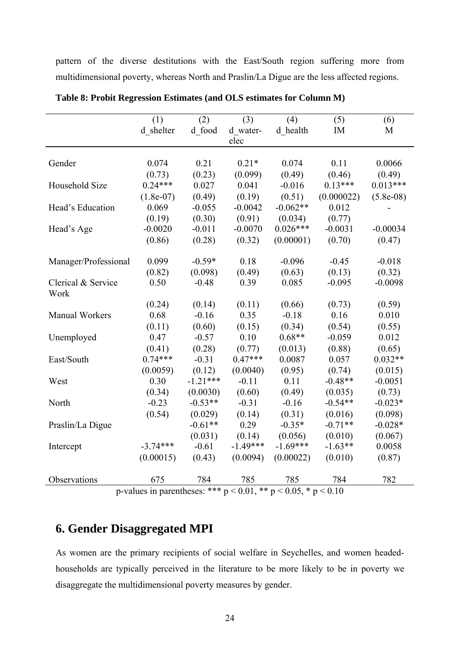pattern of the diverse destitutions with the East/South region suffering more from multidimensional poverty, whereas North and Praslin/La Digue are the less affected regions.

|                            | (1)<br>d shelter                                  | (2)<br>d food | (3)<br>d water-<br>elec | (4)<br>d health | (5)<br>IM  | (6)<br>M     |
|----------------------------|---------------------------------------------------|---------------|-------------------------|-----------------|------------|--------------|
| Gender                     | 0.074                                             | 0.21          | $0.21*$                 | 0.074           | 0.11       | 0.0066       |
|                            | (0.73)                                            | (0.23)        | (0.099)                 | (0.49)          | (0.46)     | (0.49)       |
| Household Size             | $0.24***$                                         | 0.027         | 0.041                   | $-0.016$        | $0.13***$  | $0.013***$   |
|                            | $(1.8e-07)$                                       | (0.49)        | (0.19)                  | (0.51)          | (0.000022) | $(5.8e-0.8)$ |
| Head's Education           | 0.069                                             | $-0.055$      | $-0.0042$               | $-0.062**$      | 0.012      |              |
|                            | (0.19)                                            | (0.30)        | (0.91)                  | (0.034)         | (0.77)     |              |
| Head's Age                 | $-0.0020$                                         | $-0.011$      | $-0.0070$               | $0.026***$      | $-0.0031$  | $-0.00034$   |
|                            | (0.86)                                            | (0.28)        | (0.32)                  | (0.00001)       | (0.70)     | (0.47)       |
| Manager/Professional       | 0.099                                             | $-0.59*$      | 0.18                    | $-0.096$        | $-0.45$    | $-0.018$     |
|                            | (0.82)                                            | (0.098)       | (0.49)                  | (0.63)          | (0.13)     | (0.32)       |
| Clerical & Service<br>Work | 0.50                                              | $-0.48$       | 0.39                    | 0.085           | $-0.095$   | $-0.0098$    |
|                            | (0.24)                                            | (0.14)        | (0.11)                  | (0.66)          | (0.73)     | (0.59)       |
| <b>Manual Workers</b>      | 0.68                                              | $-0.16$       | 0.35                    | $-0.18$         | 0.16       | 0.010        |
|                            | (0.11)                                            | (0.60)        | (0.15)                  | (0.34)          | (0.54)     | (0.55)       |
| Unemployed                 | 0.47                                              | $-0.57$       | 0.10                    | $0.68**$        | $-0.059$   | 0.012        |
|                            | (0.41)                                            | (0.28)        | (0.77)                  | (0.013)         | (0.88)     | (0.65)       |
| East/South                 | $0.74***$                                         | $-0.31$       | $0.47***$               | 0.0087          | 0.057      | $0.032**$    |
|                            | (0.0059)                                          | (0.12)        | (0.0040)                | (0.95)          | (0.74)     | (0.015)      |
| West                       | 0.30                                              | $-1.21***$    | $-0.11$                 | 0.11            | $-0.48**$  | $-0.0051$    |
|                            | (0.34)                                            | (0.0030)      | (0.60)                  | (0.49)          | (0.035)    | (0.73)       |
| North                      | $-0.23$                                           | $-0.53**$     | $-0.31$                 | $-0.16$         | $-0.54**$  | $-0.023*$    |
|                            | (0.54)                                            | (0.029)       | (0.14)                  | (0.31)          | (0.016)    | (0.098)      |
| Praslin/La Digue           |                                                   | $-0.61**$     | 0.29                    | $-0.35*$        | $-0.71**$  | $-0.028*$    |
|                            |                                                   | (0.031)       | (0.14)                  | (0.056)         | (0.010)    | (0.067)      |
| Intercept                  | $-3.74***$                                        | $-0.61$       | $-1.49***$              | $-1.69***$      | $-1.63**$  | 0.0058       |
|                            | (0.00015)                                         | (0.43)        | (0.0094)                | (0.00022)       | (0.010)    | (0.87)       |
| Observations               | 675<br>$n$ -values in narentheses: *** $n < 0.01$ | 784           | 785                     | 785             | 784        | 782          |

**Table 8: Probit Regression Estimates (and OLS estimates for Column M)**

p-values in parentheses: \*\*\*  $p < 0.01$ , \*\*  $p < 0.05$ , \*  $p < 0.10$ 

# **6. Gender Disaggregated MPI**

As women are the primary recipients of social welfare in Seychelles, and women headedhouseholds are typically perceived in the literature to be more likely to be in poverty we disaggregate the multidimensional poverty measures by gender.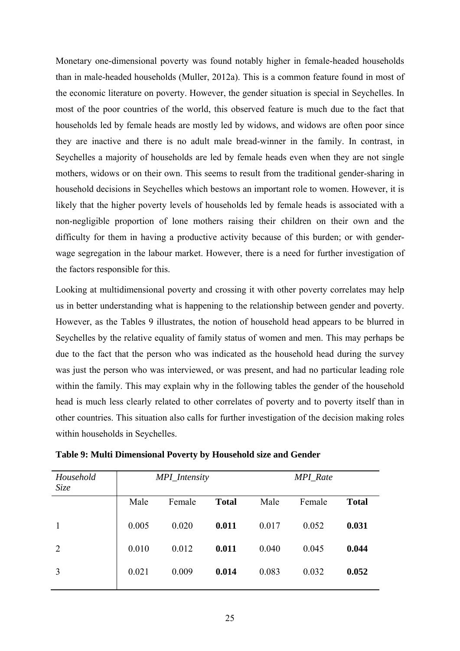Monetary one-dimensional poverty was found notably higher in female-headed households than in male-headed households (Muller, 2012a). This is a common feature found in most of the economic literature on poverty. However, the gender situation is special in Seychelles. In most of the poor countries of the world, this observed feature is much due to the fact that households led by female heads are mostly led by widows, and widows are often poor since they are inactive and there is no adult male bread-winner in the family. In contrast, in Seychelles a majority of households are led by female heads even when they are not single mothers, widows or on their own. This seems to result from the traditional gender-sharing in household decisions in Seychelles which bestows an important role to women. However, it is likely that the higher poverty levels of households led by female heads is associated with a non-negligible proportion of lone mothers raising their children on their own and the difficulty for them in having a productive activity because of this burden; or with genderwage segregation in the labour market. However, there is a need for further investigation of the factors responsible for this.

Looking at multidimensional poverty and crossing it with other poverty correlates may help us in better understanding what is happening to the relationship between gender and poverty. However, as the Tables 9 illustrates, the notion of household head appears to be blurred in Seychelles by the relative equality of family status of women and men. This may perhaps be due to the fact that the person who was indicated as the household head during the survey was just the person who was interviewed, or was present, and had no particular leading role within the family. This may explain why in the following tables the gender of the household head is much less clearly related to other correlates of poverty and to poverty itself than in other countries. This situation also calls for further investigation of the decision making roles within households in Seychelles.

| Household<br>Size |       | MPI_Intensity |              |       | <b>MPI_Rate</b> |              |
|-------------------|-------|---------------|--------------|-------|-----------------|--------------|
|                   | Male  | Female        | <b>Total</b> | Male  | Female          | <b>Total</b> |
|                   | 0.005 | 0.020         | 0.011        | 0.017 | 0.052           | 0.031        |
| 2                 | 0.010 | 0.012         | 0.011        | 0.040 | 0.045           | 0.044        |
| 3                 | 0.021 | 0.009         | 0.014        | 0.083 | 0.032           | 0.052        |

**Table 9: Multi Dimensional Poverty by Household size and Gender**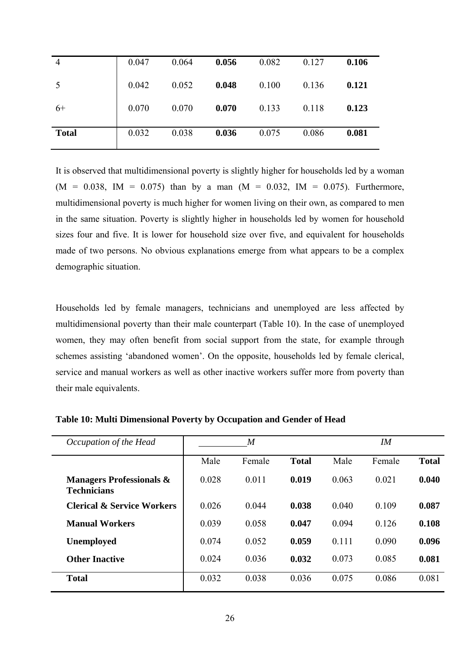| 4            | 0.047 | 0.064 | 0.056 | 0.082 | 0.127 | 0.106 |
|--------------|-------|-------|-------|-------|-------|-------|
| 5            | 0.042 | 0.052 | 0.048 | 0.100 | 0.136 | 0.121 |
| $6+$         | 0.070 | 0.070 | 0.070 | 0.133 | 0.118 | 0.123 |
| <b>Total</b> | 0.032 | 0.038 | 0.036 | 0.075 | 0.086 | 0.081 |

It is observed that multidimensional poverty is slightly higher for households led by a woman  $(M = 0.038, \text{ IM} = 0.075)$  than by a man  $(M = 0.032, \text{ IM} = 0.075)$ . Furthermore, multidimensional poverty is much higher for women living on their own, as compared to men in the same situation. Poverty is slightly higher in households led by women for household sizes four and five. It is lower for household size over five, and equivalent for households made of two persons. No obvious explanations emerge from what appears to be a complex demographic situation.

Households led by female managers, technicians and unemployed are less affected by multidimensional poverty than their male counterpart (Table 10). In the case of unemployed women, they may often benefit from social support from the state, for example through schemes assisting 'abandoned women'. On the opposite, households led by female clerical, service and manual workers as well as other inactive workers suffer more from poverty than their male equivalents.

| Occupation of the Head                                    |       | M      |              |       | IM     |              |  |
|-----------------------------------------------------------|-------|--------|--------------|-------|--------|--------------|--|
|                                                           | Male  | Female | <b>Total</b> | Male  | Female | <b>Total</b> |  |
| <b>Managers Professionals &amp;</b><br><b>Technicians</b> | 0.028 | 0.011  | 0.019        | 0.063 | 0.021  | 0.040        |  |
| <b>Clerical &amp; Service Workers</b>                     | 0.026 | 0.044  | 0.038        | 0.040 | 0.109  | 0.087        |  |
| <b>Manual Workers</b>                                     | 0.039 | 0.058  | 0.047        | 0.094 | 0.126  | 0.108        |  |
| Unemployed                                                | 0.074 | 0.052  | 0.059        | 0.111 | 0.090  | 0.096        |  |
| <b>Other Inactive</b>                                     | 0.024 | 0.036  | 0.032        | 0.073 | 0.085  | 0.081        |  |
| <b>Total</b>                                              | 0.032 | 0.038  | 0.036        | 0.075 | 0.086  | 0.081        |  |

**Table 10: Multi Dimensional Poverty by Occupation and Gender of Head**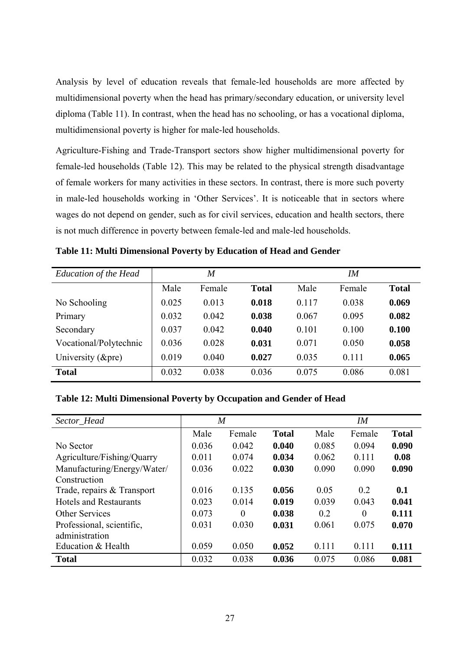Analysis by level of education reveals that female-led households are more affected by multidimensional poverty when the head has primary/secondary education, or university level diploma (Table 11). In contrast, when the head has no schooling, or has a vocational diploma, multidimensional poverty is higher for male-led households.

Agriculture-Fishing and Trade-Transport sectors show higher multidimensional poverty for female-led households (Table 12). This may be related to the physical strength disadvantage of female workers for many activities in these sectors. In contrast, there is more such poverty in male-led households working in 'Other Services'. It is noticeable that in sectors where wages do not depend on gender, such as for civil services, education and health sectors, there is not much difference in poverty between female-led and male-led households.

| <b>Education of the Head</b> |       | M      |              |       | IM     |              |
|------------------------------|-------|--------|--------------|-------|--------|--------------|
|                              | Male  | Female | <b>Total</b> | Male  | Female | <b>Total</b> |
| No Schooling                 | 0.025 | 0.013  | 0.018        | 0.117 | 0.038  | 0.069        |
| Primary                      | 0.032 | 0.042  | 0.038        | 0.067 | 0.095  | 0.082        |
| Secondary                    | 0.037 | 0.042  | 0.040        | 0.101 | 0.100  | 0.100        |
| Vocational/Polytechnic       | 0.036 | 0.028  | 0.031        | 0.071 | 0.050  | 0.058        |
| University $(\&$ pre)        | 0.019 | 0.040  | 0.027        | 0.035 | 0.111  | 0.065        |
| <b>Total</b>                 | 0.032 | 0.038  | 0.036        | 0.075 | 0.086  | 0.081        |

**Table 11: Multi Dimensional Poverty by Education of Head and Gender** 

### **Table 12: Multi Dimensional Poverty by Occupation and Gender of Head**

| Sector_Head                 | $\overline{M}$ |                |              | IM    |        |              |
|-----------------------------|----------------|----------------|--------------|-------|--------|--------------|
|                             | Male           | Female         | <b>Total</b> | Male  | Female | <b>Total</b> |
| No Sector                   | 0.036          | 0.042          | 0.040        | 0.085 | 0.094  | 0.090        |
| Agriculture/Fishing/Quarry  | 0.011          | 0.074          | 0.034        | 0.062 | 0.111  | 0.08         |
| Manufacturing/Energy/Water/ | 0.036          | 0.022          | 0.030        | 0.090 | 0.090  | 0.090        |
| Construction                |                |                |              |       |        |              |
| Trade, repairs & Transport  | 0.016          | 0.135          | 0.056        | 0.05  | 0.2    | 0.1          |
| Hotels and Restaurants      | 0.023          | 0.014          | 0.019        | 0.039 | 0.043  | 0.041        |
| <b>Other Services</b>       | 0.073          | $\overline{0}$ | 0.038        | 0.2   | 0      | 0.111        |
| Professional, scientific,   | 0.031          | 0.030          | 0.031        | 0.061 | 0.075  | 0.070        |
| administration              |                |                |              |       |        |              |
| Education & Health          | 0.059          | 0.050          | 0.052        | 0.111 | 0.111  | 0.111        |
| <b>Total</b>                | 0.032          | 0.038          | 0.036        | 0.075 | 0.086  | 0.081        |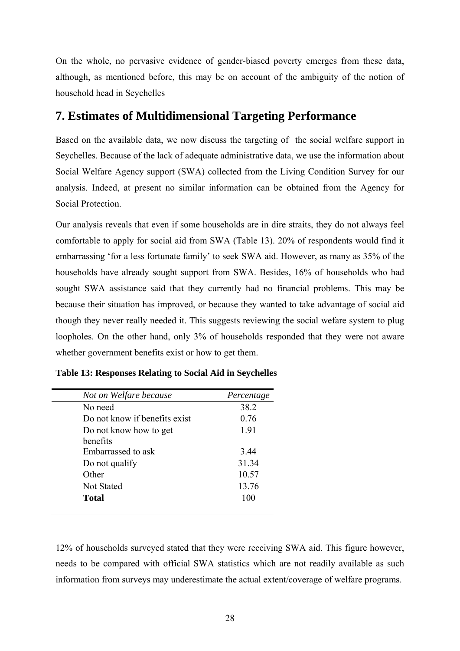On the whole, no pervasive evidence of gender-biased poverty emerges from these data, although, as mentioned before, this may be on account of the ambiguity of the notion of household head in Seychelles

### **7. Estimates of Multidimensional Targeting Performance**

Based on the available data, we now discuss the targeting of the social welfare support in Seychelles. Because of the lack of adequate administrative data, we use the information about Social Welfare Agency support (SWA) collected from the Living Condition Survey for our analysis. Indeed, at present no similar information can be obtained from the Agency for Social Protection.

Our analysis reveals that even if some households are in dire straits, they do not always feel comfortable to apply for social aid from SWA (Table 13). 20% of respondents would find it embarrassing 'for a less fortunate family' to seek SWA aid. However, as many as 35% of the households have already sought support from SWA. Besides, 16% of households who had sought SWA assistance said that they currently had no financial problems. This may be because their situation has improved, or because they wanted to take advantage of social aid though they never really needed it. This suggests reviewing the social wefare system to plug loopholes. On the other hand, only 3% of households responded that they were not aware whether government benefits exist or how to get them.

| Not on Welfare because        | Percentage |
|-------------------------------|------------|
| No need                       | 38.2       |
| Do not know if benefits exist | 0.76       |
| Do not know how to get        | 1.91       |
| benefits                      |            |
| Embarrassed to ask            | 3.44       |
| Do not qualify                | 31.34      |
| Other                         | 10.57      |
| <b>Not Stated</b>             | 13.76      |
| Total                         | 100        |

**Table 13: Responses Relating to Social Aid in Seychelles** 

12% of households surveyed stated that they were receiving SWA aid. This figure however, needs to be compared with official SWA statistics which are not readily available as such information from surveys may underestimate the actual extent/coverage of welfare programs.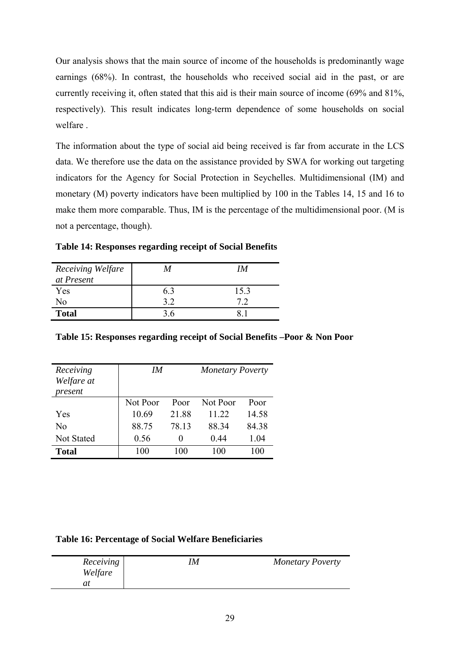Our analysis shows that the main source of income of the households is predominantly wage earnings (68%). In contrast, the households who received social aid in the past, or are currently receiving it, often stated that this aid is their main source of income (69% and 81%, respectively). This result indicates long-term dependence of some households on social welfare .

The information about the type of social aid being received is far from accurate in the LCS data. We therefore use the data on the assistance provided by SWA for working out targeting indicators for the Agency for Social Protection in Seychelles. Multidimensional (IM) and monetary (M) poverty indicators have been multiplied by 100 in the Tables 14, 15 and 16 to make them more comparable. Thus, IM is the percentage of the multidimensional poor. (M is not a percentage, though).

**Table 14: Responses regarding receipt of Social Benefits** 

| Receiving Welfare<br>at Present | M  | IМ   |
|---------------------------------|----|------|
| Yes                             | 63 | 15.3 |
| No                              | 39 |      |
| <b>Total</b>                    | 36 |      |

|  | Table 15: Responses regarding receipt of Social Benefits -Poor & Non Poor |  |  |  |  |
|--|---------------------------------------------------------------------------|--|--|--|--|

| Receiving<br>Welfare at<br>present | IM       |                   | <b>Monetary Poverty</b> |       |  |
|------------------------------------|----------|-------------------|-------------------------|-------|--|
|                                    | Not Poor | Poor              | Not Poor                | Poor  |  |
| Yes                                | 10.69    | 21.88             | 11.22                   | 14.58 |  |
| No                                 | 88.75    | 78.13             | 88 34                   | 84.38 |  |
| Not Stated                         | 0.56     | $\mathbf{\Omega}$ | 0.44                    | 1.04  |  |
| <b>Total</b>                       | 100      | 100               | 100                     | 100   |  |

#### **Table 16: Percentage of Social Welfare Beneficiaries**

| Receiving<br>Welfare | M | <b>Monetary Poverty</b> |
|----------------------|---|-------------------------|
|                      |   |                         |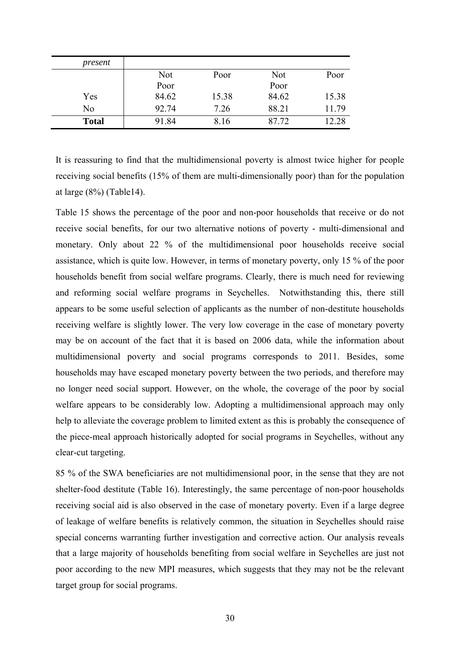| present      |            |       |       |       |
|--------------|------------|-------|-------|-------|
|              | <b>Not</b> | Poor  | Not   | Poor  |
|              | Poor       |       | Poor  |       |
| Yes          | 84.62      | 15.38 | 84.62 | 15.38 |
| No           | 92.74      | 7.26  | 88.21 | 11.79 |
| <b>Total</b> | 91.84      | 8.16  | 87.72 | 12.28 |

It is reassuring to find that the multidimensional poverty is almost twice higher for people receiving social benefits (15% of them are multi-dimensionally poor) than for the population at large (8%) (Table14).

Table 15 shows the percentage of the poor and non-poor households that receive or do not receive social benefits, for our two alternative notions of poverty - multi-dimensional and monetary. Only about 22 % of the multidimensional poor households receive social assistance, which is quite low. However, in terms of monetary poverty, only 15 % of the poor households benefit from social welfare programs. Clearly, there is much need for reviewing and reforming social welfare programs in Seychelles. Notwithstanding this, there still appears to be some useful selection of applicants as the number of non-destitute households receiving welfare is slightly lower. The very low coverage in the case of monetary poverty may be on account of the fact that it is based on 2006 data, while the information about multidimensional poverty and social programs corresponds to 2011. Besides, some households may have escaped monetary poverty between the two periods, and therefore may no longer need social support. However, on the whole, the coverage of the poor by social welfare appears to be considerably low. Adopting a multidimensional approach may only help to alleviate the coverage problem to limited extent as this is probably the consequence of the piece-meal approach historically adopted for social programs in Seychelles, without any clear-cut targeting.

85 % of the SWA beneficiaries are not multidimensional poor, in the sense that they are not shelter-food destitute (Table 16). Interestingly, the same percentage of non-poor households receiving social aid is also observed in the case of monetary poverty. Even if a large degree of leakage of welfare benefits is relatively common, the situation in Seychelles should raise special concerns warranting further investigation and corrective action. Our analysis reveals that a large majority of households benefiting from social welfare in Seychelles are just not poor according to the new MPI measures, which suggests that they may not be the relevant target group for social programs.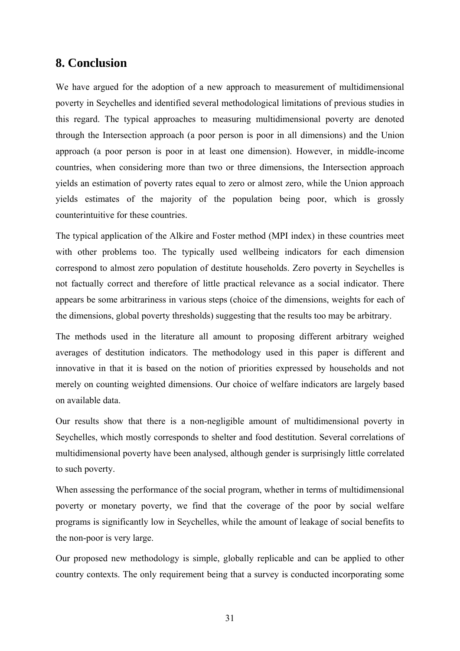### **8. Conclusion**

We have argued for the adoption of a new approach to measurement of multidimensional poverty in Seychelles and identified several methodological limitations of previous studies in this regard. The typical approaches to measuring multidimensional poverty are denoted through the Intersection approach (a poor person is poor in all dimensions) and the Union approach (a poor person is poor in at least one dimension). However, in middle-income countries, when considering more than two or three dimensions, the Intersection approach yields an estimation of poverty rates equal to zero or almost zero, while the Union approach yields estimates of the majority of the population being poor, which is grossly counterintuitive for these countries.

The typical application of the Alkire and Foster method (MPI index) in these countries meet with other problems too. The typically used wellbeing indicators for each dimension correspond to almost zero population of destitute households. Zero poverty in Seychelles is not factually correct and therefore of little practical relevance as a social indicator. There appears be some arbitrariness in various steps (choice of the dimensions, weights for each of the dimensions, global poverty thresholds) suggesting that the results too may be arbitrary.

The methods used in the literature all amount to proposing different arbitrary weighed averages of destitution indicators. The methodology used in this paper is different and innovative in that it is based on the notion of priorities expressed by households and not merely on counting weighted dimensions. Our choice of welfare indicators are largely based on available data.

Our results show that there is a non-negligible amount of multidimensional poverty in Seychelles, which mostly corresponds to shelter and food destitution. Several correlations of multidimensional poverty have been analysed, although gender is surprisingly little correlated to such poverty.

When assessing the performance of the social program, whether in terms of multidimensional poverty or monetary poverty, we find that the coverage of the poor by social welfare programs is significantly low in Seychelles, while the amount of leakage of social benefits to the non-poor is very large.

Our proposed new methodology is simple, globally replicable and can be applied to other country contexts. The only requirement being that a survey is conducted incorporating some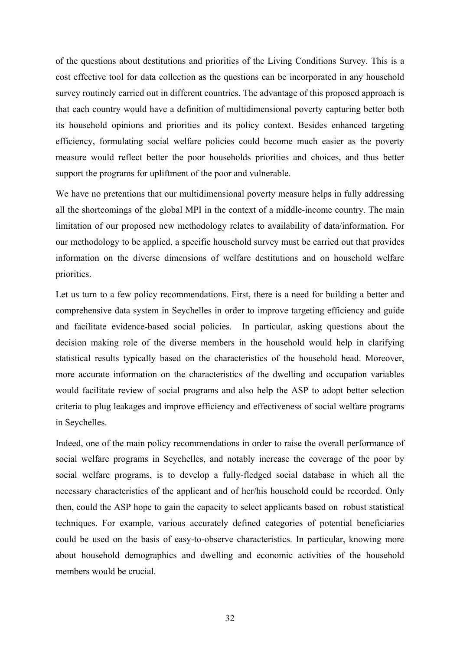of the questions about destitutions and priorities of the Living Conditions Survey. This is a cost effective tool for data collection as the questions can be incorporated in any household survey routinely carried out in different countries. The advantage of this proposed approach is that each country would have a definition of multidimensional poverty capturing better both its household opinions and priorities and its policy context. Besides enhanced targeting efficiency, formulating social welfare policies could become much easier as the poverty measure would reflect better the poor households priorities and choices, and thus better support the programs for upliftment of the poor and vulnerable.

We have no pretentions that our multidimensional poverty measure helps in fully addressing all the shortcomings of the global MPI in the context of a middle-income country. The main limitation of our proposed new methodology relates to availability of data/information. For our methodology to be applied, a specific household survey must be carried out that provides information on the diverse dimensions of welfare destitutions and on household welfare priorities.

Let us turn to a few policy recommendations. First, there is a need for building a better and comprehensive data system in Seychelles in order to improve targeting efficiency and guide and facilitate evidence-based social policies. In particular, asking questions about the decision making role of the diverse members in the household would help in clarifying statistical results typically based on the characteristics of the household head. Moreover, more accurate information on the characteristics of the dwelling and occupation variables would facilitate review of social programs and also help the ASP to adopt better selection criteria to plug leakages and improve efficiency and effectiveness of social welfare programs in Seychelles.

Indeed, one of the main policy recommendations in order to raise the overall performance of social welfare programs in Seychelles, and notably increase the coverage of the poor by social welfare programs, is to develop a fully-fledged social database in which all the necessary characteristics of the applicant and of her/his household could be recorded. Only then, could the ASP hope to gain the capacity to select applicants based on robust statistical techniques. For example, various accurately defined categories of potential beneficiaries could be used on the basis of easy-to-observe characteristics. In particular, knowing more about household demographics and dwelling and economic activities of the household members would be crucial.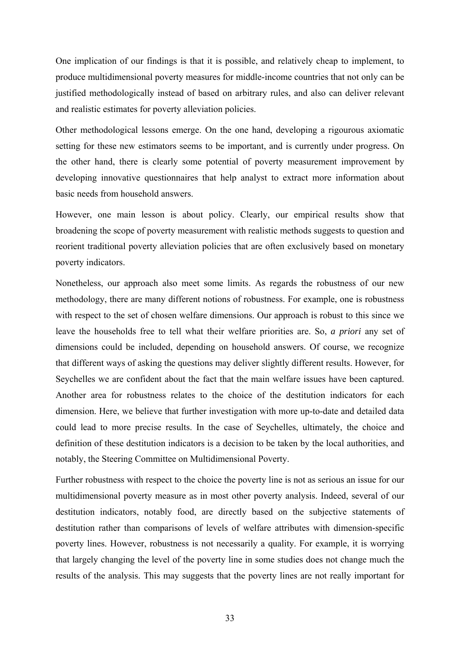One implication of our findings is that it is possible, and relatively cheap to implement, to produce multidimensional poverty measures for middle-income countries that not only can be justified methodologically instead of based on arbitrary rules, and also can deliver relevant and realistic estimates for poverty alleviation policies.

Other methodological lessons emerge. On the one hand, developing a rigourous axiomatic setting for these new estimators seems to be important, and is currently under progress. On the other hand, there is clearly some potential of poverty measurement improvement by developing innovative questionnaires that help analyst to extract more information about basic needs from household answers.

However, one main lesson is about policy. Clearly, our empirical results show that broadening the scope of poverty measurement with realistic methods suggests to question and reorient traditional poverty alleviation policies that are often exclusively based on monetary poverty indicators.

Nonetheless, our approach also meet some limits. As regards the robustness of our new methodology, there are many different notions of robustness. For example, one is robustness with respect to the set of chosen welfare dimensions. Our approach is robust to this since we leave the households free to tell what their welfare priorities are. So, *a priori* any set of dimensions could be included, depending on household answers. Of course, we recognize that different ways of asking the questions may deliver slightly different results. However, for Seychelles we are confident about the fact that the main welfare issues have been captured. Another area for robustness relates to the choice of the destitution indicators for each dimension. Here, we believe that further investigation with more up-to-date and detailed data could lead to more precise results. In the case of Seychelles, ultimately, the choice and definition of these destitution indicators is a decision to be taken by the local authorities, and notably, the Steering Committee on Multidimensional Poverty.

Further robustness with respect to the choice the poverty line is not as serious an issue for our multidimensional poverty measure as in most other poverty analysis. Indeed, several of our destitution indicators, notably food, are directly based on the subjective statements of destitution rather than comparisons of levels of welfare attributes with dimension-specific poverty lines. However, robustness is not necessarily a quality. For example, it is worrying that largely changing the level of the poverty line in some studies does not change much the results of the analysis. This may suggests that the poverty lines are not really important for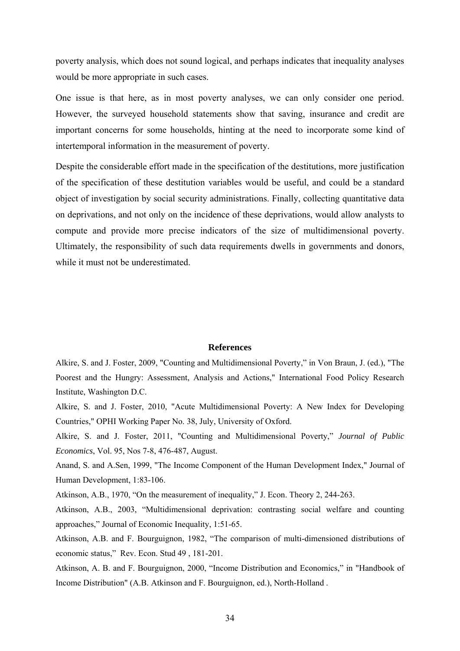poverty analysis, which does not sound logical, and perhaps indicates that inequality analyses would be more appropriate in such cases.

One issue is that here, as in most poverty analyses, we can only consider one period. However, the surveyed household statements show that saving, insurance and credit are important concerns for some households, hinting at the need to incorporate some kind of intertemporal information in the measurement of poverty.

Despite the considerable effort made in the specification of the destitutions, more justification of the specification of these destitution variables would be useful, and could be a standard object of investigation by social security administrations. Finally, collecting quantitative data on deprivations, and not only on the incidence of these deprivations, would allow analysts to compute and provide more precise indicators of the size of multidimensional poverty. Ultimately, the responsibility of such data requirements dwells in governments and donors, while it must not be underestimated.

#### **References**

Alkire, S. and J. Foster, 2009, "Counting and Multidimensional Poverty," in Von Braun, J. (ed.), "The Poorest and the Hungry: Assessment, Analysis and Actions," International Food Policy Research Institute, Washington D.C.

Alkire, S. and J. Foster, 2010, "Acute Multidimensional Poverty: A New Index for Developing Countries," OPHI Working Paper No. 38, July, University of Oxford.

Alkire, S. and J. Foster, 2011, "Counting and Multidimensional Poverty," *Journal of Public Economics*, Vol. 95, Nos 7-8, 476-487, August.

Anand, S. and A.Sen, 1999, "The Income Component of the Human Development Index," Journal of Human Development, 1:83-106.

Atkinson, A.B., 1970, "On the measurement of inequality," J. Econ. Theory 2, 244-263.

Atkinson, A.B., 2003, "Multidimensional deprivation: contrasting social welfare and counting approaches," Journal of Economic Inequality, 1:51-65.

Atkinson, A.B. and F. Bourguignon, 1982, "The comparison of multi-dimensioned distributions of economic status," Rev. Econ. Stud 49 , 181-201.

Atkinson, A. B. and F. Bourguignon, 2000, "Income Distribution and Economics," in "Handbook of Income Distribution" (A.B. Atkinson and F. Bourguignon, ed.), North-Holland .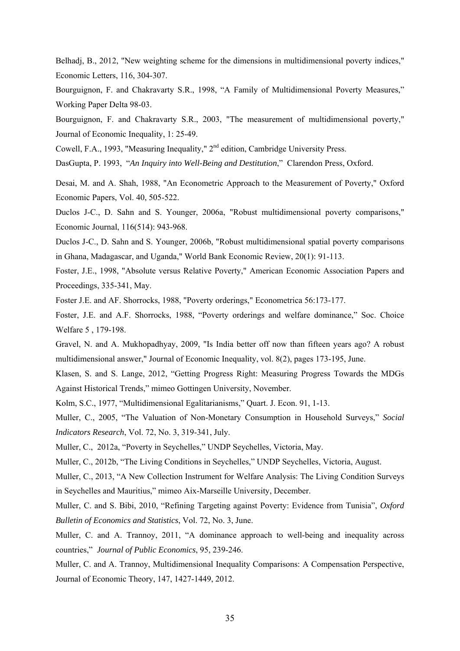Belhadj, B., 2012, "New weighting scheme for the dimensions in multidimensional poverty indices," Economic Letters, 116, 304-307.

Bourguignon, F. and Chakravarty S.R., 1998, "A Family of Multidimensional Poverty Measures," Working Paper Delta 98-03.

Bourguignon, F. and Chakravarty S.R., 2003, "The measurement of multidimensional poverty," Journal of Economic Inequality, 1: 25-49.

Cowell, F.A., 1993, "Measuring Inequality," 2<sup>nd</sup> edition, Cambridge University Press.

DasGupta, P. 1993, "*An Inquiry into Well-Being and Destitution*," Clarendon Press, Oxford.

Desai, M. and A. Shah, 1988, "An Econometric Approach to the Measurement of Poverty," Oxford Economic Papers, Vol. 40, 505-522.

Duclos J-C., D. Sahn and S. Younger, 2006a, "Robust multidimensional poverty comparisons," Economic Journal, 116(514): 943-968.

Duclos J-C., D. Sahn and S. Younger, 2006b, "Robust multidimensional spatial poverty comparisons in Ghana, Madagascar, and Uganda," World Bank Economic Review, 20(1): 91-113.

Foster, J.E., 1998, "Absolute versus Relative Poverty," American Economic Association Papers and Proceedings, 335-341, May.

Foster J.E. and AF. Shorrocks, 1988, "Poverty orderings," Econometrica 56:173-177.

Foster, J.E. and A.F. Shorrocks, 1988, "Poverty orderings and welfare dominance," Soc. Choice Welfare 5 , 179-198.

Gravel, N. and A. Mukhopadhyay, 2009, "Is India better off now than fifteen years ago? A robust multidimensional answer," Journal of Economic Inequality, vol. 8(2), pages 173-195, June.

Klasen, S. and S. Lange, 2012, "Getting Progress Right: Measuring Progress Towards the MDGs Against Historical Trends," mimeo Gottingen University, November.

Kolm, S.C., 1977, "Multidimensional Egalitarianisms," Quart. J. Econ. 91, 1-13.

Muller, C., 2005, "The Valuation of Non-Monetary Consumption in Household Surveys," *Social Indicators Research*, Vol. 72, No. 3, 319-341, July.

Muller, C., 2012a, "Poverty in Seychelles," UNDP Seychelles, Victoria, May.

Muller, C., 2012b, "The Living Conditions in Seychelles," UNDP Seychelles, Victoria, August.

Muller, C., 2013, "A New Collection Instrument for Welfare Analysis: The Living Condition Surveys in Seychelles and Mauritius," mimeo Aix-Marseille University, December.

Muller, C. and S. Bibi, 2010, "Refining Targeting against Poverty: Evidence from Tunisia", *Oxford Bulletin of Economics and Statistics*, Vol. 72, No. 3, June.

Muller, C. and A. Trannoy, 2011, "A dominance approach to well-being and inequality across countries," *Journal of Public Economics*, 95, 239-246.

Muller, C. and A. Trannoy, Multidimensional Inequality Comparisons: A Compensation Perspective, Journal of Economic Theory, 147, 1427-1449, 2012.